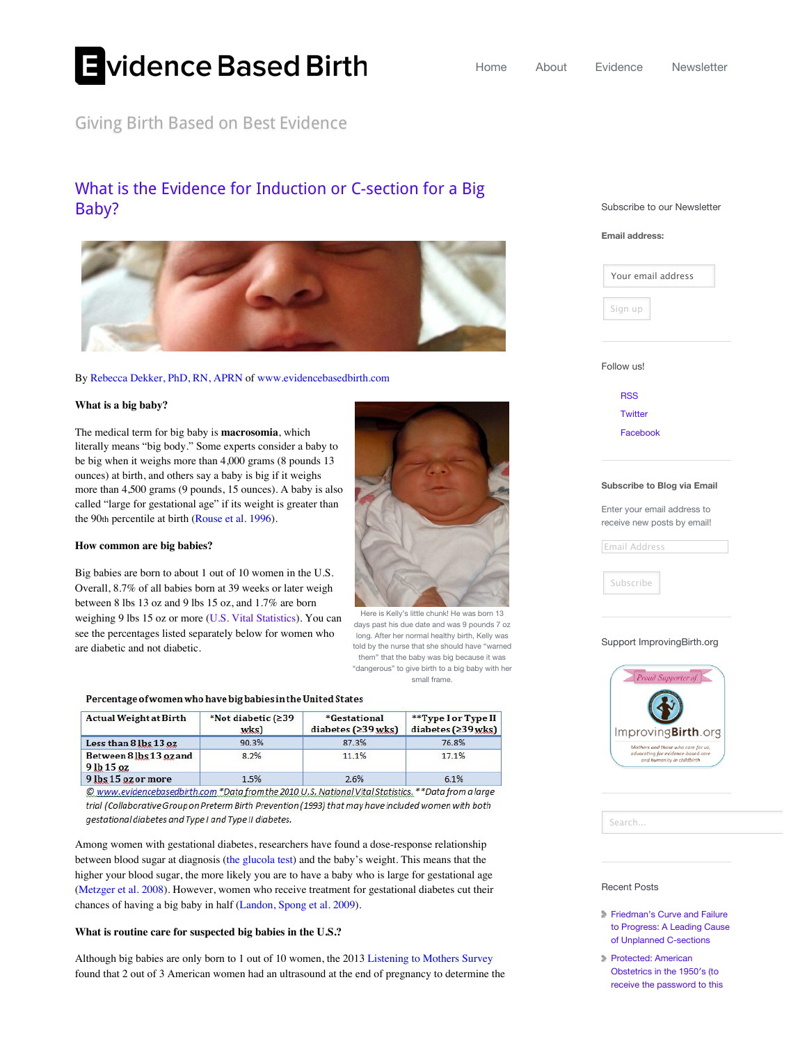# Evidence Based Birth

## Giving Birth Based on Best Evidence

# [What is the Evidence for Induction or C-section for a Big](http://evidencebasedbirth.com/evidence-for-induction-or-c-section-for-big-baby/) Baby?



#### By [Rebecca Dekker, PhD, RN, APRN](http://evidencebasedbirth.com/about-2/about/) of [www.evidencebasedbirth.com](http://www.evidencebasedbirth.com/)

#### **What is a big baby?**

The medical term for big baby is **macrosomia**, which literally means "big body." Some experts consider a baby to be big when it weighs more than 4,000 grams (8 pounds 13 ounces) at birth, and others say a baby is big if it weighs more than 4,500 grams (9 pounds, 15 ounces). A baby is also called "large for gestational age" if its weight is greater than the 90th percentile at birth [\(Rouse et al. 1996\)](http://www.ncbi.nlm.nih.gov/pubmed/8903259).

#### **How common are big babies?**

Big babies are born to about 1 out of 10 women in the U.S. Overall, 8.7% of all babies born at 39 weeks or later weigh between 8 lbs 13 oz and 9 lbs 15 oz, and 1.7% are born weighing 9 lbs 15 oz or more [\(U.S. Vital Statistics\)](http://www.cdc.gov/nchs/nvss.htm). You can see the percentages listed separately below for women who are diabetic and not diabetic.

#### Percentage of women who have big babies in the United States

| <b>Actual Weight at Birth</b>            | *Not diabetic $(239$<br>wks | *Gestational<br>diabetes $(239$ wks) | **Type I or Type II<br>diabetes $(239$ wks) |
|------------------------------------------|-----------------------------|--------------------------------------|---------------------------------------------|
| Less than 8 lbs 13 oz                    | 90.3%                       | 87.3%                                | 76.8%                                       |
| Between 81bs 13 oz and<br>$9$ lb $15$ oz | 8.2%                        | 11.1%                                | 17.1%                                       |
| 9 lbs 15 oz or more                      | 1.5%                        | 2.6%                                 | 6.1%                                        |

© www.evidencebasedbirth.com \*Data from the 2010 U.S. National Vital Statistics. \*\*Data from a large trial (Collaborative Group on Preterm Birth Prevention (1993) that may have included women with both gestational diabetes and Type I and Type II diabetes.

Among women with gestational diabetes, researchers have found a dose-response relationship between blood sugar at diagnosis ([the glucola test](http://evidencebasedbirth.com/gestational-diabetes-and-the-glucola-test/)) and the baby's weight. This means that the higher your blood sugar, the more likely you are to have a baby who is large for gestational age ([Metzger et al. 2008](http://www.nejm.org/doi/full/10.1056/NEJMoa0707943#t=abstract)). However, women who receive treatment for gestational diabetes cut their chances of having a big baby in half [\(Landon, Spong et al. 2009\)](http://www.nejm.org/doi/full/10.1056/NEJMoa0902430#t=articleResults).

#### **What is routine care for suspected big babies in the U.S.?**

Although big babies are only born to 1 out of 10 women, the 2013 [Listening to Mothers Survey](http://transform.childbirthconnection.org/wp-content/uploads/2013/04/LTM-III_report.pdf) found that 2 out of 3 American women had an ultrasound at the end of pregnancy to determine the Subscribe to our Newsletter





[RSS](http://evidencebasedbirth.com/feed/) **[Twitter](https://twitter.com/BirthEvidence)** [Facebook](http://www.facebook.com/EvidenceBasedBirth?ref=hl)

#### **Subscribe to Blog via Email**

Enter your email address to receive new posts by email!

Email Address

Subscribe

#### Support ImprovingBirth.org



Search...

#### Recent Posts

- **Friedman's Curve and Failure** [to Progress: A Leading Cause](http://evidencebasedbirth.com/friedmans-curve-and-failure-to-progress-a-leading-cause-of-unplanned-c-sections/) of Unplanned C-sections
- Protected: American Obstetrics in the 1950′s (to [receive the password to this](http://evidencebasedbirth.com/american-obstetrics-in-the-1950s/)



[Here is Kelly's little chunk! He was born 13](http://evidencebasedbirth.com/evidence-for-induction-or-c-section-for-big-baby/kelly/) days past his due date and was 9 pounds 7 oz long. After her normal healthy birth, Kelly was told by the nurse that she should have "warned them" that the baby was big because it was ["dangerous" to give birth to a big baby with her](http://evidencebasedbirth.com/evidence-for-induction-or-c-section-for-big-baby/table1a/) small frame.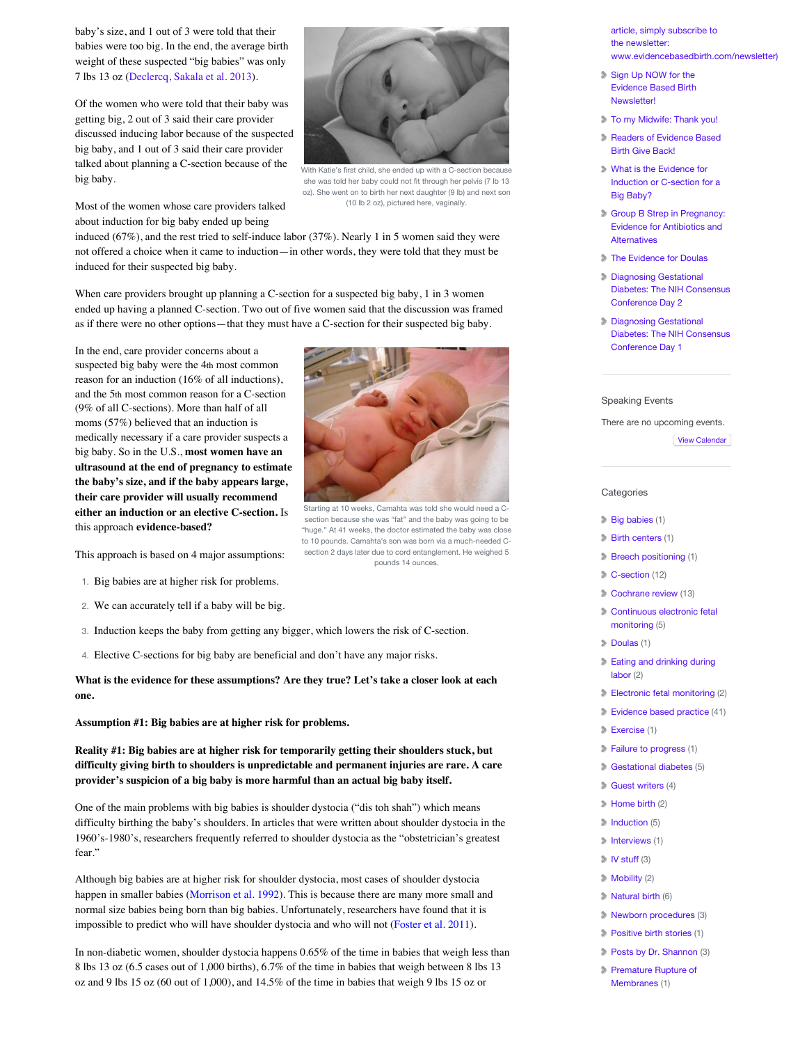baby's size, and 1 out of 3 were told that their babies were too big. In the end, the average birth weight of these suspected "big babies" was only 7 lbs 13 oz [\(Declercq, Sakala et al. 2013](http://transform.childbirthconnection.org/wp-content/uploads/2013/04/LTM-III_report.pdf)).

Of the women who were told that their baby was getting big, 2 out of 3 said their care provider discussed inducing labor because of the suspected big baby, and 1 out of 3 said their care provider talked about planning a C-section because of the big baby.



With Katie's first child, she ended up with a C-section because she was told her baby could not fit through her pelvis (7 lb 13 oz). She went on to birth her next daughter (9 lb) and next son (10 lb 2 oz), pictured here, vaginally.

Most of the women whose care providers talked about induction for big baby ended up being

induced (67%), and the rest tried to self-induce labor (37%). Nearly 1 in 5 women said they were not offered a choice when it came to induction—in other words, they were told that they must be induced for their suspected big baby.

When care providers brought up planning a C-section for a suspected big baby, 1 in 3 women ended up having a planned C-section. Two out of five women said that the discussion was framed as if there were no other options—that they must have a C-section for their suspected big baby.

In the end, care provider concerns about a suspected big baby were the 4th most common reason for an induction (16% of all inductions), and the 5th most common reason for a C-section (9% of all C-sections). More than half of all moms (57%) believed that an induction is medically necessary if a care provider suspects a big baby. So in the U.S., **most women have an ultrasound at the end of pregnancy to estimate the baby's size, and if the baby appears large, their care provider will usually recommend either an induction or an elective C-section.** Is this approach **evidence-based?**

This approach is based on 4 major assumptions:

- 1. Big babies are at higher risk for problems.
- 2. We can accurately tell if a baby will be big.
- 3. Induction keeps the baby from getting any bigger, which lowers the risk of C-section.
- 4. Elective C-sections for big baby are beneficial and don't have any major risks.

**What is the evidence for these assumptions? Are they true? Let's take a closer look at each one.**

**Assumption #1: Big babies are at higher risk for problems.**

**Reality #1: Big babies are at higher risk for temporarily getting their shoulders stuck, but difficulty giving birth to shoulders is unpredictable and permanent injuries are rare. A care provider's suspicion of a big baby is more harmful than an actual big baby itself.**

One of the main problems with big babies is shoulder dystocia ("dis toh shah") which means difficulty birthing the baby's shoulders. In articles that were written about shoulder dystocia in the 1960's-1980's, researchers frequently referred to shoulder dystocia as the "obstetrician's greatest fear."

Although big babies are at higher risk for shoulder dystocia, most cases of shoulder dystocia happen in smaller babies [\(Morrison et al. 1992\)](http://www.ncbi.nlm.nih.gov/pubmed/1448731). This is because there are many more small and normal size babies being born than big babies. Unfortunately, researchers have found that it is impossible to predict who will have shoulder dystocia and who will not [\(Foster et al. 2011\)](http://www.ncbi.nlm.nih.gov/pubmed/3591856).

In non-diabetic women, shoulder dystocia happens 0.65% of the time in babies that weigh less than 8 lbs 13 oz (6.5 cases out of 1,000 births), 6.7% of the time in babies that weigh between 8 lbs 13 oz and 9 lbs 15 oz (60 out of 1,000), and 14.5% of the time in babies that weigh 9 lbs 15 oz or

article, simply subscribe to the newsletter: [www.evidencebasedbirth.com/newsletter\)](http://evidencebasedbirth.com/american-obstetrics-in-the-1950s/)

- Sign Up NOW for the [Evidence Based Birth](http://evidencebasedbirth.com/sign-up-now-for-the-evidence-based-birth-newsletter/) Newsletter!
- [To my Midwife: Thank you!](http://evidencebasedbirth.com/to-my-midwife-thank-you/)
- **[Readers of Evidence Based](http://evidencebasedbirth.com/readers-of-evidence-based-birth-give-back/)** Birth Give Back!
- What is the Evidence for [Induction or C-section for a](http://evidencebasedbirth.com/evidence-for-induction-or-c-section-for-big-baby/) Big Baby?
- [Group B Strep in Pregnancy:](http://evidencebasedbirth.com/groupbstrep/) Evidence for Antibiotics and **Alternatives**
- [The Evidence for Doulas](http://evidencebasedbirth.com/the-evidence-for-doulas/)
- Diagnosing Gestational [Diabetes: The NIH Consensus](http://evidencebasedbirth.com/diagnosing-gestational-diabetes-the-nih-consensus-conference-day-2/) Conference Day 2
- Diagnosing Gestational [Diabetes: The NIH Consensus](http://evidencebasedbirth.com/diagnosing-gestational-diabetes-the-nih-consensus-conference-day-1/) Conference Day 1

#### Speaking Events

There are no upcoming events.

[View Calendar](http://evidencebasedbirth.com/calendar/)

#### **Categories**

- [Big babies](http://evidencebasedbirth.com/category/big-babies-2/) (1)
- **[Birth centers](http://evidencebasedbirth.com/category/birth-centers/) (1)**
- **[Breech positioning](http://evidencebasedbirth.com/category/breech-positioning/) (1)**
- [C-section](http://evidencebasedbirth.com/category/c-section/) (12)
- [Cochrane review](http://evidencebasedbirth.com/category/cochrane-review/) (13)
- **[Continuous electronic fetal](http://evidencebasedbirth.com/category/continuous-electronic-fetal-monitoring/)** monitoring (5)
- [Doulas](http://evidencebasedbirth.com/category/doulas/) (1)
- [Eating and drinking during](http://evidencebasedbirth.com/category/eating-and-drinking-during-labor/) labor (2)
- [Electronic fetal monitoring](http://evidencebasedbirth.com/category/electronic-fetal-monitoring/) (2)
- [Evidence based practice](http://evidencebasedbirth.com/category/evidence-based-practice/) (41)
- [Exercise](http://evidencebasedbirth.com/category/exercise/) (1)
- [Failure to progress](http://evidencebasedbirth.com/category/failure-to-progress/) (1)
- [Gestational diabetes](http://evidencebasedbirth.com/category/gestational-diabetes-2/) (5)
- [Guest writers](http://evidencebasedbirth.com/category/guest-writers/) (4)
- [Home birth](http://evidencebasedbirth.com/category/home-birth-2/) (2)
- [Induction](http://evidencebasedbirth.com/category/induction/) (5)
- [Interviews](http://evidencebasedbirth.com/category/interviews/) (1)
- $\triangleright$  [IV stuff](http://evidencebasedbirth.com/category/iv-stuff/) (3)
- **Mobility** (2)
- [Natural birth](http://evidencebasedbirth.com/category/natural-birth/) (6)
- [Newborn procedures](http://evidencebasedbirth.com/category/newborn-procedures/) (3)
- [Positive birth stories](http://evidencebasedbirth.com/category/positive-birth-stories/) (1)
- [Posts by Dr. Shannon](http://evidencebasedbirth.com/category/posts-by-dr-shannon/) (3)
- **[Premature Rupture of](http://evidencebasedbirth.com/category/premature-rupture-of-membranes/)** Membranes (1)

Starting at 10 weeks, Camahta was told she would need a Csection because she was "fat" and the baby was going to be "huge." At 41 weeks, the doctor estimated the baby was close to 10 pounds. Camahta's son was born via a much-needed Csection 2 days later due to cord entanglement. He weighed 5 pounds 14 ounces.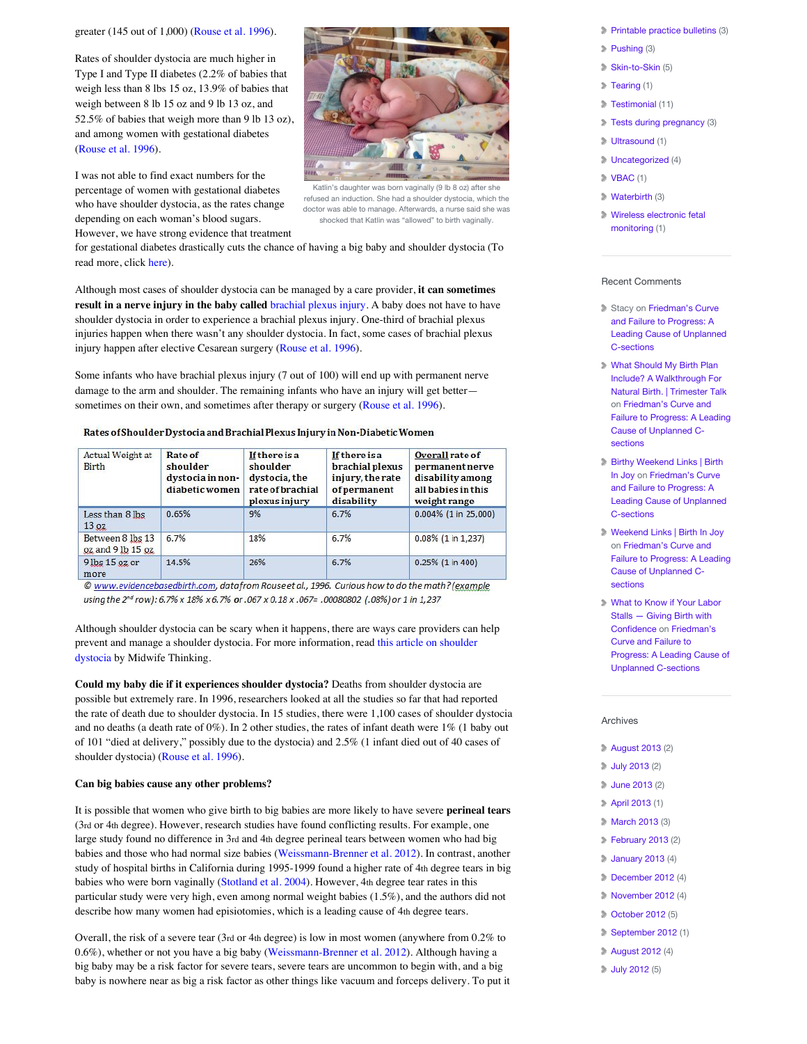greater (145 out of 1,000) [\(Rouse et al. 1996\)](http://www.ncbi.nlm.nih.gov/pubmed/8903259).

Rates of shoulder dystocia are much higher in Type I and Type II diabetes (2.2% of babies that weigh less than 8 lbs 15 oz, 13.9% of babies that weigh between 8 lb 15 oz and 9 lb 13 oz, and 52.5% of babies that weigh more than 9 lb 13 oz), and among women with gestational diabetes ([Rouse et al. 1996\)](http://www.ncbi.nlm.nih.gov/pubmed/8903259).

I was not able to find exact numbers for the percentage of women with gestational diabetes who have shoulder dystocia, as the rates change depending on each woman's blood sugars. However, we have strong evidence that treatment



Katlin's daughter was born vaginally (9 lb 8 oz) after she refused an induction. She had a shoulder dystocia, which the doctor was able to manage. Afterwards, a nurse said she was shocked that Katlin was "allowed" to birth vaginally.

for gestational diabetes drastically cuts the chance of having a big baby and shoulder dystocia (To read more, click [here\)](http://evidencebasedbirth.com/diagnosing-gestational-diabetes-the-nih-consensus-conference-day-1/).

Although most cases of shoulder dystocia can be managed by a care provider, **it can sometimes result in a nerve injury in the baby called** [brachial plexus injury.](http://www.mayoclinic.com/health/brachial-plexus-injury/DS00897) A baby does not have to have shoulder dystocia in order to experience a brachial plexus injury. One-third of brachial plexus injuries happen when there wasn't any shoulder dystocia. In fact, some cases of brachial plexus injury happen after elective Cesarean surgery [\(Rouse et al. 1996\)](http://www.ncbi.nlm.nih.gov/pubmed/8903259).

Some infants who have brachial plexus injury (7 out of 100) will end up with permanent nerve damage to the arm and shoulder. The remaining infants who have an injury will get better— sometimes on their own, and sometimes after therapy or surgery [\(Rouse et al. 1996\)](http://www.ncbi.nlm.nih.gov/pubmed/8903259).

#### Rates of Shoulder Dystocia and Brachial Plexus Injury in Non-Diabetic Women

| Actual Weight at<br><b>Birth</b>      | <b>Rate of</b><br>shoulder<br>dystocia in non-<br>diabetic women | <b>If there is a</b><br>shoulder<br>dystocia, the<br>rate of brachial<br><i>plexus injury</i> | <b>If there is a</b><br>brachial plexus<br>injury, the rate<br>of permanent<br>disability | Overall rate of<br>permanent nerve<br><b>disability</b> among<br>all babies in this<br>weight range |  |
|---------------------------------------|------------------------------------------------------------------|-----------------------------------------------------------------------------------------------|-------------------------------------------------------------------------------------------|-----------------------------------------------------------------------------------------------------|--|
| Less than 8 lbs<br>13 <sub>oz</sub>   | 0.65%                                                            | 9%                                                                                            | 6.7%                                                                                      | $0.004\%$ (1 in 25,000)                                                                             |  |
| Between 8 lbs 13<br>oz and 9 lb 15 oz | 6.7%                                                             | 18%                                                                                           | 6.7%                                                                                      | $0.08\%$ (1 in 1,237)                                                                               |  |
| 9 lbs 15 oz or<br>more                | 14.5%                                                            | 26%                                                                                           | 6.7%                                                                                      | $0.25\%$ (1 in 400)                                                                                 |  |

© www.evidencebasedbirth.com, datafrom Rouse et al., 1996. Curious how to do the math? (example using the 2<sup>nd</sup> row): 6.7% x 18% x 6.7% or .067 x 0.18 x .067= .00080802 (.08%) or 1 in 1,237

Although shoulder dystocia can be scary when it happens, there are ways care providers can help [prevent and manage a shoulder dystocia. For more information, read this article on shoulder](http://midwifethinking.com/2010/12/03/shoulder-dystocia-the-real-story/) dystocia by Midwife Thinking.

**Could my baby die if it experiences shoulder dystocia?** Deaths from shoulder dystocia are possible but extremely rare. In 1996, researchers looked at all the studies so far that had reported the rate of death due to shoulder dystocia. In 15 studies, there were 1,100 cases of shoulder dystocia and no deaths (a death rate of  $0\%$ ). In 2 other studies, the rates of infant death were  $1\%$  (1 baby out of 101 "died at delivery," possibly due to the dystocia) and 2.5% (1 infant died out of 40 cases of shoulder dystocia) ([Rouse et al. 1996\)](http://www.ncbi.nlm.nih.gov/pubmed/8903259).

#### **Can big babies cause any other problems?**

It is possible that women who give birth to big babies are more likely to have severe **perineal tears** (3rd or 4th degree). However, research studies have found conflicting results. For example, one large study found no difference in 3rd and 4th degree perineal tears between women who had big babies and those who had normal size babies ([Weissmann-Brenner et al. 2012](http://www.ncbi.nlm.nih.gov/pubmed/22936200)). In contrast, another study of hospital births in California during 1995-1999 found a higher rate of 4th degree tears in big babies who were born vaginally [\(Stotland et al. 2004\)](http://www.ncbi.nlm.nih.gov/pubmed/15548393). However, 4th degree tear rates in this particular study were very high, even among normal weight babies (1.5%), and the authors did not describe how many women had episiotomies, which is a leading cause of 4th degree tears.

Overall, the risk of a severe tear (3rd or 4th degree) is low in most women (anywhere from 0.2% to 0.6%), whether or not you have a big baby [\(Weissmann-Brenner et al. 2012\)](http://www.ncbi.nlm.nih.gov/pubmed/22936200). Although having a big baby may be a risk factor for severe tears, severe tears are uncommon to begin with, and a big baby is nowhere near as big a risk factor as other things like vacuum and forceps delivery. To put it

- [Printable practice bulletins](http://evidencebasedbirth.com/category/printable-practice-bulletins/) (3)
- [Pushing](http://evidencebasedbirth.com/category/pushing-2/) (3)
- [Skin-to-Skin](http://evidencebasedbirth.com/category/skin-to-skin-2/) (5)
- [Tearing](http://evidencebasedbirth.com/category/tearing/) (1)
- [Testimonial](http://evidencebasedbirth.com/category/testimonial/) (11)
- [Tests during pregnancy](http://evidencebasedbirth.com/category/tests-during-pregnancy/) (3)
- [Ultrasound](http://evidencebasedbirth.com/category/ultrasound/) (1)
- [Uncategorized](http://evidencebasedbirth.com/category/uncategorized/) (4)
- $\triangleright$  [VBAC](http://evidencebasedbirth.com/category/vbac/) (1)
- [Waterbirth](http://evidencebasedbirth.com/category/waterbirth/) (3)
- [Wireless electronic fetal](http://evidencebasedbirth.com/category/wireless-electronic-fetal-monitoring/) monitoring (1)

#### Recent Comments

- Stacy on Friedman's Curve and Failure to Progress: A [Leading Cause of Unplanned](http://evidencebasedbirth.com/friedmans-curve-and-failure-to-progress-a-leading-cause-of-unplanned-c-sections/#comment-6148) C-sections
- What Should My Birth Plan Include? A Walkthrough For [Natural Birth. | Trimester Talk](http://trimestertalk.com/evidence-based-birth-plan/) on Friedman's Curve and [Failure to Progress: A Leading](http://evidencebasedbirth.com/friedmans-curve-and-failure-to-progress-a-leading-cause-of-unplanned-c-sections/#comment-6078) Cause of Unplanned Csections
- [Birthy Weekend Links | Birth](http://birthinjoy.com/2013/09/07/birthy-weekend-links/) In Joy on Friedman's Curve and Failure to Progress: A [Leading Cause of Unplanned](http://evidencebasedbirth.com/friedmans-curve-and-failure-to-progress-a-leading-cause-of-unplanned-c-sections/#comment-6060) C-sections
- [Weekend Links | Birth In Joy](http://birthinjoy.com/2013/09/06/weekend-links-5/) on Friedman's Curve and [Failure to Progress: A Leading](http://evidencebasedbirth.com/friedmans-curve-and-failure-to-progress-a-leading-cause-of-unplanned-c-sections/#comment-6035) Cause of Unplanned Csections
- [What to Know if Your Labor](http://givingbirthwithconfidence.org/2013/09/what-to-know-if-your-labor-stalls/) Stalls — Giving Birth with Confidence on Friedman's Curve and Failure to [Progress: A Leading Cause of](http://evidencebasedbirth.com/friedmans-curve-and-failure-to-progress-a-leading-cause-of-unplanned-c-sections/#comment-6034) Unplanned C-sections

#### Archives

- [August 2013](http://evidencebasedbirth.com/2013/08/?cat=-119,-118,-120,-121,-155,-156,-154,-157) (2)
- [July 2013](http://evidencebasedbirth.com/2013/07/) (2)
- [June 2013](http://evidencebasedbirth.com/2013/06/) (2)
- [April 2013](http://evidencebasedbirth.com/2013/04/) (1)
- **[March 2013](http://evidencebasedbirth.com/2013/03/) (3)**
- **[February 2013](http://evidencebasedbirth.com/2013/02/) (2)**
- **January 2013** (4)
- **December 2012** (4)
- **November 2012** (4)
- [October 2012](http://evidencebasedbirth.com/2012/10/) (5)
- [September 2012](http://evidencebasedbirth.com/2012/09/) (1)
- [August 2012](http://evidencebasedbirth.com/2012/08/) (4)
- **July 2012** (5)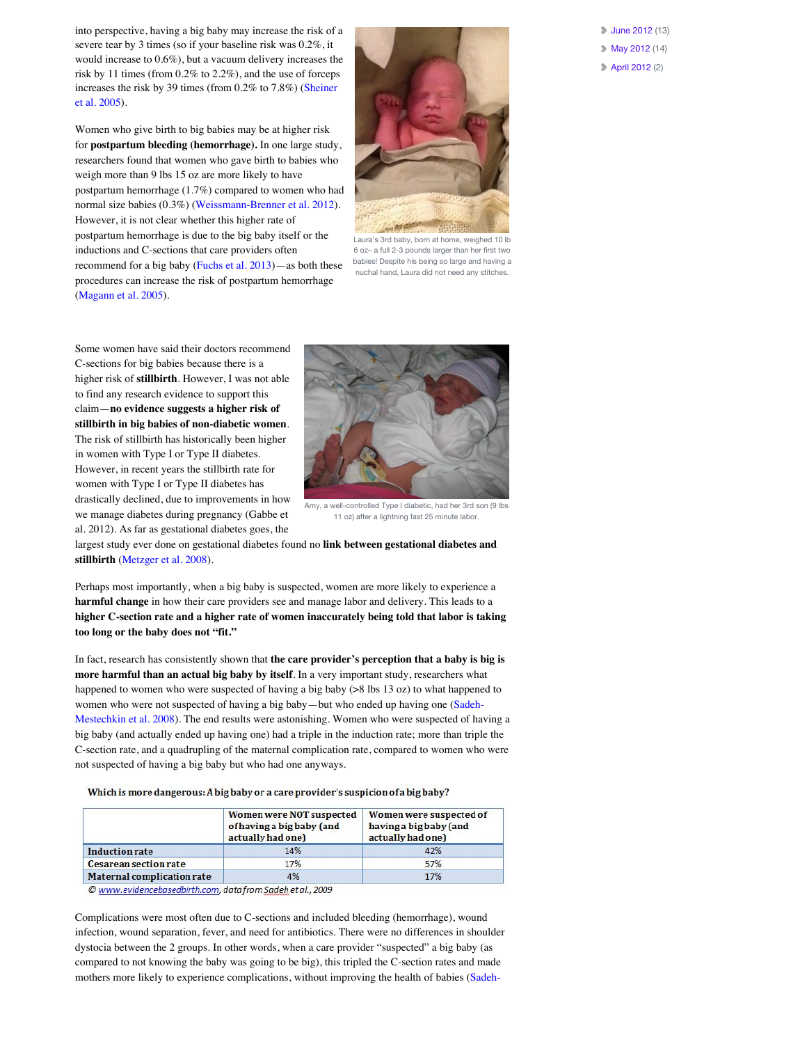into perspective, having a big baby may increase the risk of a severe tear by 3 times (so if your baseline risk was 0.2%, it would increase to 0.6%), but a vacuum delivery increases the risk by 11 times (from 0.2% to 2.2%), and the use of forceps [increases the risk by 39 times \(from 0.2% to 7.8%\) \(Sheiner](http://www.ncbi.nlm.nih.gov/pubmed/15024575) et al. 2005).

Women who give birth to big babies may be at higher risk for **postpartum bleeding (hemorrhage).** In one large study, researchers found that women who gave birth to babies who weigh more than 9 lbs 15 oz are more likely to have postpartum hemorrhage (1.7%) compared to women who had normal size babies (0.3%) [\(Weissmann-Brenner et al. 2012\)](http://www.ncbi.nlm.nih.gov/pubmed/22936200). However, it is not clear whether this higher rate of postpartum hemorrhage is due to the big baby itself or the inductions and C-sections that care providers often recommend for a big baby [\(Fuchs et al. 2013](http://www.ncbi.nlm.nih.gov/pmc/articles/PMC3623722/))—as both these procedures can increase the risk of postpartum hemorrhage ([Magann et al. 2005\)](http://www.ncbi.nlm.nih.gov/pubmed/16108235).



Laura's 3rd baby, born at home, weighed 10 lb 6 oz– a full 2-3 pounds larger than her first two babies! Despite his being so large and having a nuchal hand, Laura did not need any stitches.

Some women have said their doctors recommend C-sections for big babies because there is a higher risk of **stillbirth**. However, I was not able to find any research evidence to support this claim—**no evidence suggests a higher risk of stillbirth in big babies of non-diabetic women**. The risk of stillbirth has historically been higher in women with Type I or Type II diabetes. However, in recent years the stillbirth rate for women with Type I or Type II diabetes has drastically declined, due to improvements in how we manage diabetes during pregnancy (Gabbe et al. 2012). As far as gestational diabetes goes, the



[Amy, a well-controlled Type I diabetic, had her 3rd son \(9 lbs](http://evidencebasedbirth.com/evidence-for-induction-or-c-section-for-big-baby/amy_as2/) 11 oz) after a lightning fast 25 minute labor.

largest study ever done on gestational diabetes found no **link between gestational diabetes and stillbirth** [\(Metzger et al. 2008\)](http://www.nejm.org/doi/full/10.1056/NEJMoa0707943#t=abstract).

Perhaps most importantly, when a big baby is suspected, women are more likely to experience a **harmful change** in how their care providers see and manage labor and delivery. This leads to a **higher C-section rate and a higher rate of women inaccurately being told that labor is taking too long or the baby does not "fit."**

In fact, research has consistently shown that **the care provider's perception that a baby is big is more harmful than an actual big baby by itself**. In a very important study, researchers what happened to women who were suspected of having a big baby (>8 lbs 13 oz) to what happened to women who were not suspected of having a big baby—but who ended up having one (Sadeh-[Mestechkin et al. 2008\). The end results were astonishing. Women who were suspected of hav](http://www.ncbi.nlm.nih.gov/pubmed/?term=18299867)ing a big baby (and actually ended up having one) had a triple in the induction rate; more than triple the C-section rate, and a quadrupling of the maternal complication rate, compared to women who were not suspected of having a big baby but who had one anyways.

Which is more dangerous: A big baby or a care provider's suspicion of a big baby?

|                              | Women were NOT suspected<br>of having a big baby (and<br>actually had one) | Women were suspected of<br>having a big baby (and<br>actually had one) |
|------------------------------|----------------------------------------------------------------------------|------------------------------------------------------------------------|
| <b>Induction rate</b>        | 14%                                                                        | 42%                                                                    |
| <b>Cesarean section rate</b> | 17%                                                                        | 57%                                                                    |
| Maternal complication rate   | 4%                                                                         | 17%                                                                    |

© www.evidencebasedbirth.com, datafrom Sadeh et al., 2009

Complications were most often due to C-sections and included bleeding (hemorrhage), wound infection, wound separation, fever, and need for antibiotics. There were no differences in shoulder dystocia between the 2 groups. In other words, when a care provider "suspected" a big baby (as compared to not knowing the baby was going to be big), this tripled the C-section rates and made [mothers more likely to experience complications, without improving the health of babies \(Sadeh-](http://www.ncbi.nlm.nih.gov/pubmed/?term=18299867) [June 2012](http://evidencebasedbirth.com/2012/06/) (13)

- **May 2012** (14)
- [April 2012](http://evidencebasedbirth.com/2012/04/) (2)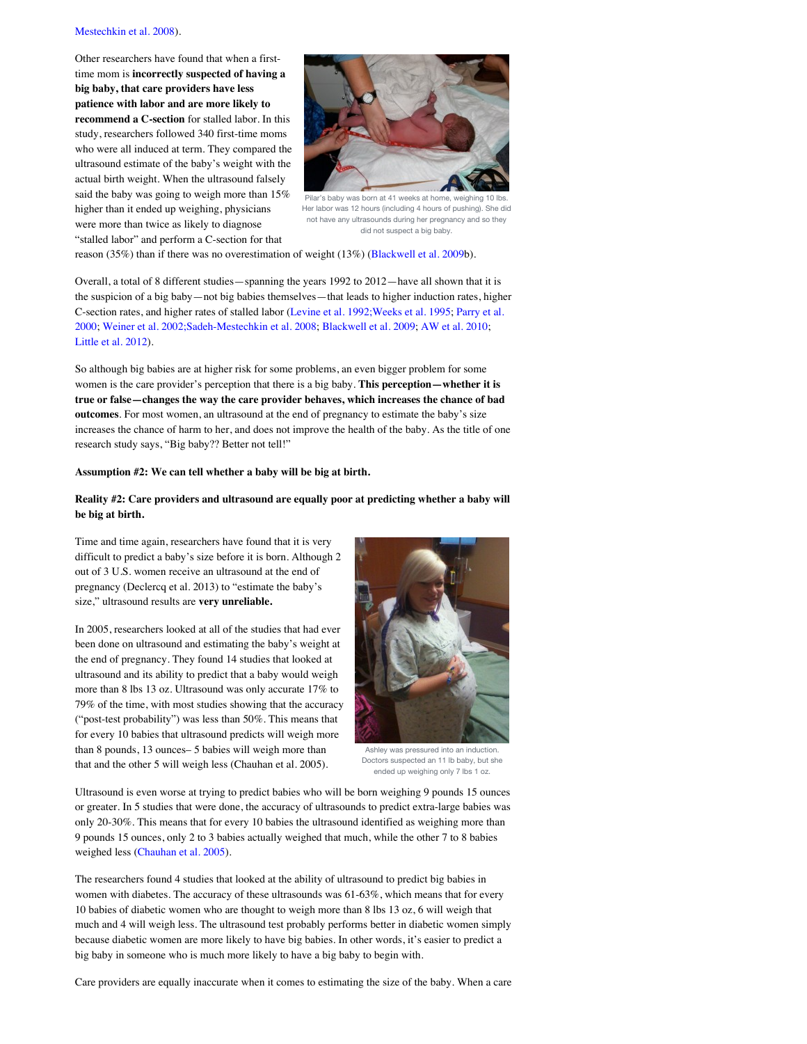#### [Mestechkin et al. 2008\).](http://www.ncbi.nlm.nih.gov/pubmed/?term=18299867)

Other researchers have found that when a firsttime mom is **incorrectly suspected of having a big baby, that care providers have less patience with labor and are more likely to recommend a C-section** for stalled labor. In this study, researchers followed 340 first-time moms who were all induced at term. They compared the ultrasound estimate of the baby's weight with the actual birth weight. When the ultrasound falsely said the baby was going to weigh more than 15% higher than it ended up weighing, physicians were more than twice as likely to diagnose "stalled labor" and perform a C-section for that



Pilar's baby was born at 41 weeks at home, weighing 10 l Her labor was 12 hours (including 4 hours of pushing). She did not have any ultrasounds during her pregnancy and so they did not suspect a big baby.

reason (35%) than if there was no overestimation of weight (13%) ([Blackwell et al. 2009b](http://www.ncbi.nlm.nih.gov/pubmed/19254597)).

Overall, a total of 8 different studies—spanning the years 1992 to 2012—have all shown that it is the suspicion of a big baby—not big babies themselves—that leads to higher induction rates, higher [C-section rates, and higher rates of stalled labor \(](http://www.ncbi.nlm.nih.gov/pubmed/10664942)[Levine et al. 1992;](http://www.ncbi.nlm.nih.gov/pubmed/1727587)[Weeks et al. 199](http://www.ncbi.nlm.nih.gov/pubmed/7485323)[5; Parry et al.](http://www.ncbi.nlm.nih.gov/pubmed/10664942) 2000; [Weiner et al. 2002;](http://www.ncbi.nlm.nih.gov/pubmed/12270559)[Sadeh-Mestechkin et al. 2008;](http://www.ncbi.nlm.nih.gov/pubmed/?term=18299867) [Blackwell et al. 2009](http://www.ncbi.nlm.nih.gov/pubmed/19254597); [AW et al. 2010](http://www.ncbi.nlm.nih.gov/pubmed/20103792); [Little et al. 2012\)](http://www.ncbi.nlm.nih.gov/pubmed/22902073).

So although big babies are at higher risk for some problems, an even bigger problem for some women is the care provider's perception that there is a big baby. **This perception—whether it is true or false—changes the way the care provider behaves, which increases the chance of bad outcomes**. For most women, an ultrasound at the end of pregnancy to estimate the baby's size increases the chance of harm to her, and does not improve the health of the baby. As the title of one research study says, "Big baby?? Better not tell!"

#### **Assumption #2: We can tell whether a baby will be big at birth.**

#### **Reality #2: Care providers and ultrasound are equally poor at predicting whether a baby will be big at birth.**

Time and time again, researchers have found that it is very difficult to predict a baby's size before it is born. Although 2 out of 3 U.S. women receive an ultrasound at the end of pregnancy (Declercq et al. 2013) to "estimate the baby's size," ultrasound results are **very unreliable.** 

In 2005, researchers looked at all of the studies that had ever been done on ultrasound and estimating the baby's weight at the end of pregnancy. They found 14 studies that looked at ultrasound and its ability to predict that a baby would weigh more than 8 lbs 13 oz. Ultrasound was only accurate 17% to 79% of the time, with most studies showing that the accuracy ("post-test probability") was less than 50%. This means that for every 10 babies that ultrasound predicts will weigh more than 8 pounds, 13 ounces– 5 babies will weigh more than that and the other 5 will weigh less (Chauhan et al. 2005).



Ashley was pressured into an induction. Doctors suspected an 11 lb baby, but she ended up weighing only 7 lbs 1 oz.

Ultrasound is even worse at trying to predict babies who will be born weighing 9 pounds 15 ounces or greater. In 5 studies that were done, the accuracy of ultrasounds to predict extra-large babies was only 20-30%. This means that for every 10 babies the ultrasound identified as weighing more than 9 pounds 15 ounces, only 2 to 3 babies actually weighed that much, while the other 7 to 8 babies weighed less [\(Chauhan et al. 2005\)](http://www.ncbi.nlm.nih.gov/pubmed/16098852).

The researchers found 4 studies that looked at the ability of ultrasound to predict big babies in women with diabetes. The accuracy of these ultrasounds was 61-63%, which means that for every 10 babies of diabetic women who are thought to weigh more than 8 lbs 13 oz, 6 will weigh that much and 4 will weigh less. The ultrasound test probably performs better in diabetic women simply because diabetic women are more likely to have big babies. In other words, it's easier to predict a big baby in someone who is much more likely to have a big baby to begin with.

Care providers are equally inaccurate when it comes to estimating the size of the baby. When a care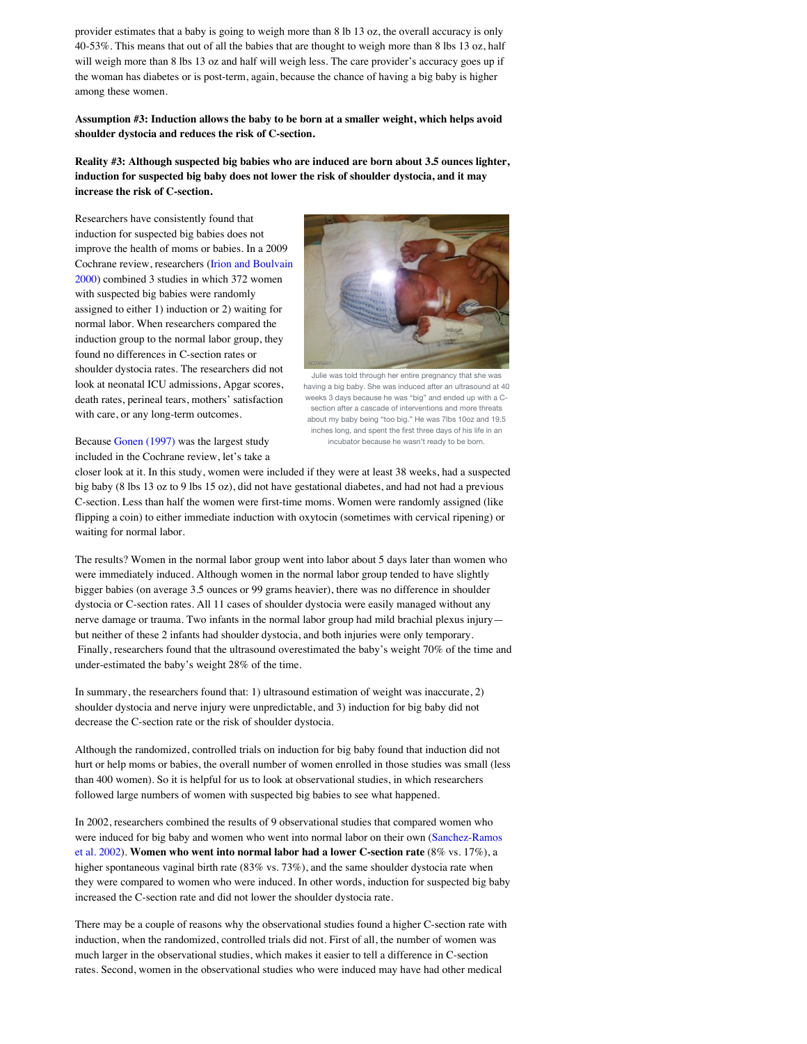provider estimates that a baby is going to weigh more than 8 lb 13 oz, the overall accuracy is only 40-53%. This means that out of all the babies that are thought to weigh more than 8 lbs 13 oz, half will weigh more than 8 lbs 13 oz and half will weigh less. The care provider's accuracy goes up if the woman has diabetes or is post-term, again, because the chance of having a big baby is higher among these women.

**Assumption #3: Induction allows the baby to be born at a smaller weight, which helps avoid shoulder dystocia and reduces the risk of C-section.**

**Reality #3: Although suspected big babies who are induced are born about 3.5 ounces lighter, induction for suspected big baby does not lower the risk of shoulder dystocia, and it may increase the risk of C-section.**

Researchers have consistently found that induction for suspected big babies does not improve the health of moms or babies. In a 2009 [Cochrane review, researchers \(Irion and Boulvain](http://www.ncbi.nlm.nih.gov/pubmed/10796221) 2000) combined 3 studies in which 372 women with suspected big babies were randomly assigned to either 1) induction or 2) waiting for normal labor. When researchers compared the induction group to the normal labor group, they found no differences in C-section rates or shoulder dystocia rates. The researchers did not look at neonatal ICU admissions, Apgar scores, death rates, perineal tears, mothers' satisfaction with care, or any long-term outcomes.



Julie was told through her entire pregnancy that she was having a big baby. She was induced after an ultrasound at 40 weeks 3 days because he was "big" and ended up with a Csection after a cascade of interventions and more threats about my baby being "too big." He was 7lbs 10oz and 19.5 inches long, and spent the first three days of his life in an incubator because he wasn't ready to be born.

Because [Gonen \(1997\)](http://www.ncbi.nlm.nih.gov/pubmed/9170464) was the largest study included in the Cochrane review, let's take a

closer look at it. In this study, women were included if they were at least 38 weeks, had a suspected big baby (8 lbs 13 oz to 9 lbs 15 oz), did not have gestational diabetes, and had not had a previous C-section. Less than half the women were first-time moms. Women were randomly assigned (like flipping a coin) to either immediate induction with oxytocin (sometimes with cervical ripening) or waiting for normal labor.

The results? Women in the normal labor group went into labor about 5 days later than women who were immediately induced. Although women in the normal labor group tended to have slightly bigger babies (on average 3.5 ounces or 99 grams heavier), there was no difference in shoulder dystocia or C-section rates. All 11 cases of shoulder dystocia were easily managed without any nerve damage or trauma. Two infants in the normal labor group had mild brachial plexus injury but neither of these 2 infants had shoulder dystocia, and both injuries were only temporary. Finally, researchers found that the ultrasound overestimated the baby's weight 70% of the time and under-estimated the baby's weight 28% of the time.

In summary, the researchers found that: 1) ultrasound estimation of weight was inaccurate, 2) shoulder dystocia and nerve injury were unpredictable, and 3) induction for big baby did not decrease the C-section rate or the risk of shoulder dystocia.

Although the randomized, controlled trials on induction for big baby found that induction did not hurt or help moms or babies, the overall number of women enrolled in those studies was small (less than 400 women). So it is helpful for us to look at observational studies, in which researchers followed large numbers of women with suspected big babies to see what happened.

In 2002, researchers combined the results of 9 observational studies that compared women who [were induced for big baby and women who went into normal labor on their own \(Sanchez-Ramos](http://www.ncbi.nlm.nih.gov/pubmed/?term=sanchez+ramos+AND+macrosomia) et al. 2002). **Women who went into normal labor had a lower C-section rate** (8% vs. 17%), a higher spontaneous vaginal birth rate (83% vs. 73%), and the same shoulder dystocia rate when they were compared to women who were induced. In other words, induction for suspected big baby increased the C-section rate and did not lower the shoulder dystocia rate.

There may be a couple of reasons why the observational studies found a higher C-section rate with induction, when the randomized, controlled trials did not. First of all, the number of women was much larger in the observational studies, which makes it easier to tell a difference in C-section rates. Second, women in the observational studies who were induced may have had other medical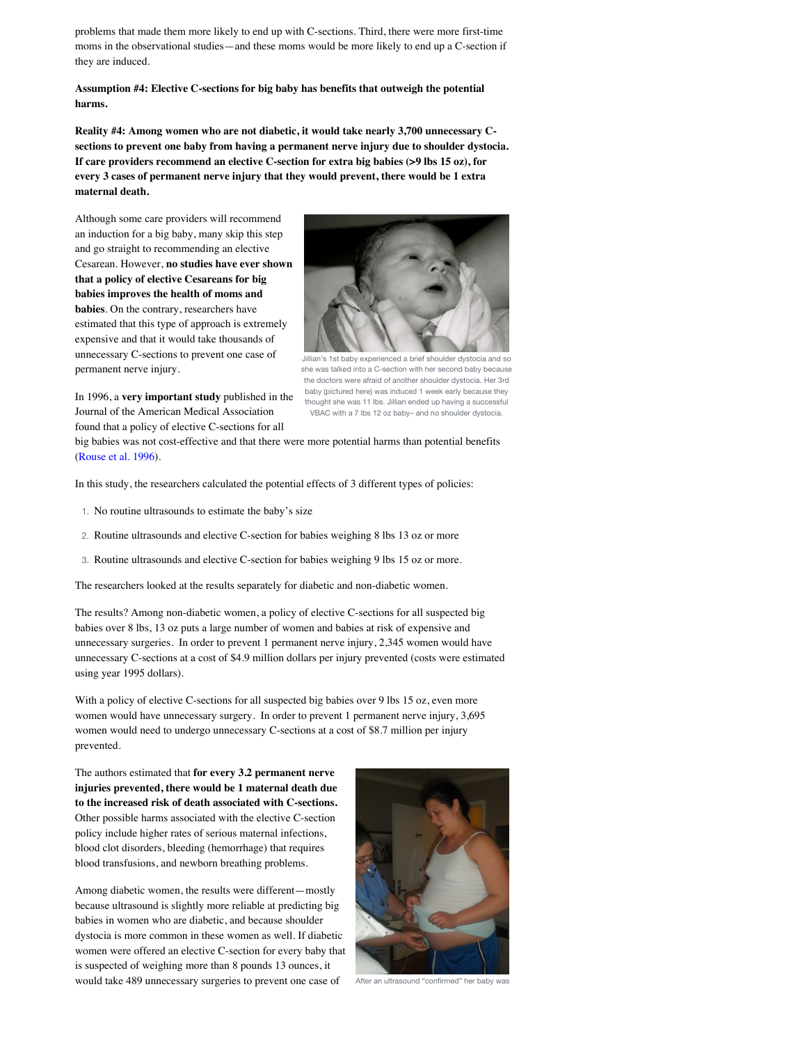problems that made them more likely to end up with C-sections. Third, there were more first-time moms in the observational studies—and these moms would be more likely to end up a C-section if they are induced.

**Assumption #4: Elective C-sections for big baby has benefits that outweigh the potential harms.**

**Reality #4: Among women who are not diabetic, it would take nearly 3,700 unnecessary Csections to prevent one baby from having a permanent nerve injury due to shoulder dystocia. If care providers recommend an elective C-section for extra big babies (>9 lbs 15 oz), for every 3 cases of permanent nerve injury that they would prevent, there would be 1 extra maternal death.** 

Although some care providers will recommend an induction for a big baby, many skip this step and go straight to recommending an elective Cesarean. However, **no studies have ever shown that a policy of elective Cesareans for big babies improves the health of moms and babies**. On the contrary, researchers have estimated that this type of approach is extremely expensive and that it would take thousands of unnecessary C-sections to prevent one case of permanent nerve injury.



she was talked into a C-section with her second baby because the doctors were afraid of another shoulder dystocia. Her 3rd baby (pictured here) was induced 1 week early because they thought she was 11 lbs. Jillian ended up having a successful VBAC with a 7 lbs 12 oz baby– and no shoulder dystocia.

In 1996, a **very important study** published in the Journal of the American Medical Association found that a policy of elective C-sections for all

big babies was not cost-effective and that there were more potential harms than potential benefits ([Rouse et al. 1996\)](http://www.ncbi.nlm.nih.gov/pubmed/8903259).

In this study, the researchers calculated the potential effects of 3 different types of policies:

- 1. No routine ultrasounds to estimate the baby's size
- 2. Routine ultrasounds and elective C-section for babies weighing 8 lbs 13 oz or more
- 3. Routine ultrasounds and elective C-section for babies weighing 9 lbs 15 oz or more.

The researchers looked at the results separately for diabetic and non-diabetic women.

The results? Among non-diabetic women, a policy of elective C-sections for all suspected big babies over 8 lbs, 13 oz puts a large number of women and babies at risk of expensive and unnecessary surgeries. In order to prevent 1 permanent nerve injury, 2,345 women would have unnecessary C-sections at a cost of \$4.9 million dollars per injury prevented (costs were estimated using year 1995 dollars).

With a policy of elective C-sections for all suspected big babies over 9 lbs 15 oz, even more women would have unnecessary surgery. In order to prevent 1 permanent nerve injury, 3,695 women would need to undergo unnecessary C-sections at a cost of \$8.7 million per injury prevented.

The authors estimated that **for every 3.2 permanent nerve injuries prevented, there would be 1 maternal death due to the increased risk of death associated with C-sections.** Other possible harms associated with the elective C-section policy include higher rates of serious maternal infections, blood clot disorders, bleeding (hemorrhage) that requires blood transfusions, and newborn breathing problems.

Among diabetic women, the results were different—mostly because ultrasound is slightly more reliable at predicting big babies in women who are diabetic, and because shoulder dystocia is more common in these women as well. If diabetic women were offered an elective C-section for every baby that is suspected of weighing more than 8 pounds 13 ounces, it would take 489 unnecessary surgeries to prevent one case of



After an ultrasound "confirmed" her baby was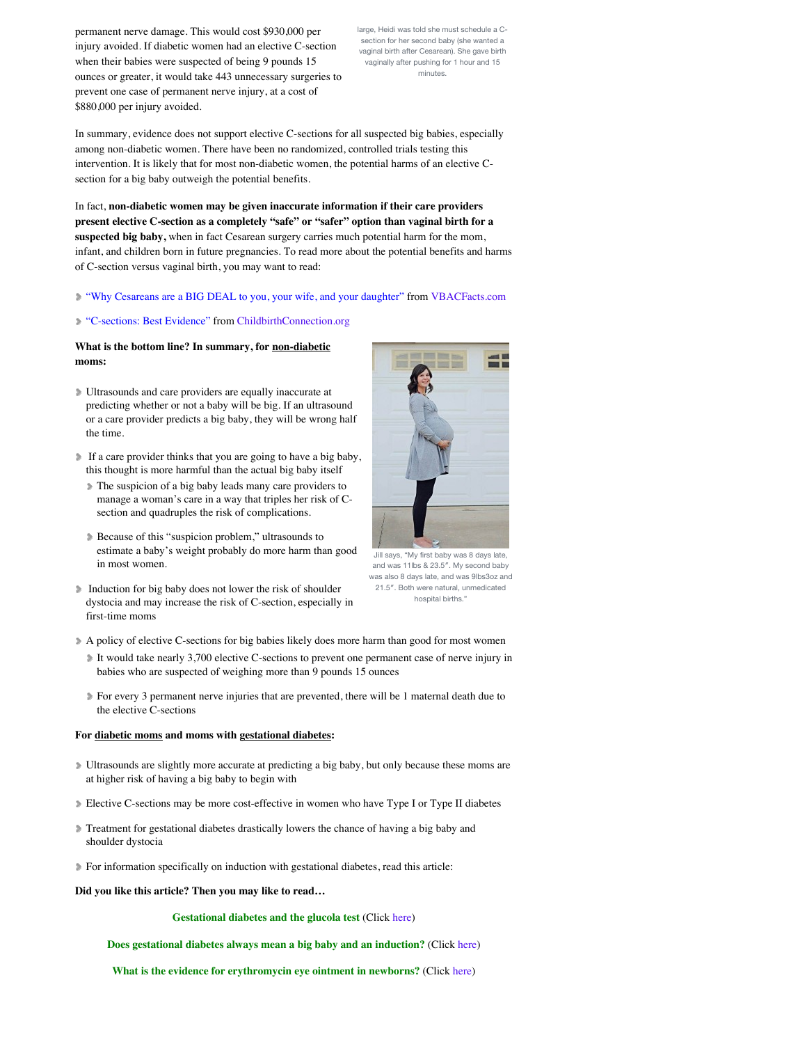permanent nerve damage. This would cost \$930,000 per injury avoided. If diabetic women had an elective C-section when their babies were suspected of being 9 pounds 15 ounces or greater, it would take 443 unnecessary surgeries to prevent one case of permanent nerve injury, at a cost of \$880,000 per injury avoided.

large, Heidi was told she must schedule a Csection for her second baby (she wanted a vaginal birth after Cesarean). She gave birth vaginally after pushing for 1 hour and 15 minutes.

In summary, evidence does not support elective C-sections for all suspected big babies, especially among non-diabetic women. There have been no randomized, controlled trials testing this intervention. It is likely that for most non-diabetic women, the potential harms of an elective Csection for a big baby outweigh the potential benefits.

In fact, **non-diabetic women may be given inaccurate information if their care providers present elective C-section as a completely "safe" or "safer" option than vaginal birth for a suspected big baby,** when in fact Cesarean surgery carries much potential harm for the mom, infant, and children born in future pregnancies. To read more about the potential benefits and harms of C-section versus vaginal birth, you may want to read:

#### ["Why Cesareans are a BIG DEAL to you, your wife, and your daughter"](http://vbacfacts.com/2012/12/09/why-cesareans-are-a-big-deal-to-you-your-wife-and-your-daughter/) from [VBACFacts.com](http://www.vbacfacts.com/)

#### ["C-sections: Best Evidence"](http://www.childbirthconnection.org/article.asp?ck=10166) from [ChildbirthConnection.org](http://www.childbirthconnection.org/)

### **What is the bottom line? In summary, for non-diabetic moms:**

- Ultrasounds and care providers are equally inaccurate at predicting whether or not a baby will be big. If an ultrasound or a care provider predicts a big baby, they will be wrong half the time.
- If a care provider thinks that you are going to have a big baby, this thought is more harmful than the actual big baby itself
	- The suspicion of a big baby leads many care providers to manage a woman's care in a way that triples her risk of Csection and quadruples the risk of complications.
	- Because of this "suspicion problem," ultrasounds to estimate a baby's weight probably do more harm than good in most women.
- Induction for big baby does not lower the risk of shoulder dystocia and may increase the risk of C-section, especially in first-time moms
- A policy of elective C-sections for big babies likely does more harm than good for most women
	- It would take nearly 3,700 elective C-sections to prevent one permanent case of nerve injury in babies who are suspected of weighing more than 9 pounds 15 ounces
	- For every 3 permanent nerve injuries that are prevented, there will be 1 maternal death due to the elective C-sections

#### **For diabetic moms and moms with gestational diabetes:**

- Ultrasounds are slightly more accurate at predicting a big baby, but only because these moms are at higher risk of having a big baby to begin with
- Elective C-sections may be more cost-effective in women who have Type I or Type II diabetes
- Treatment for gestational diabetes drastically lowers the chance of having a big baby and shoulder dystocia
- For information specifically on induction with gestational diabetes, read this article:
- **Did you like this article? Then you may like to read…**

#### **Gestational diabetes and the glucola test** (Click [here\)](http://evidencebasedbirth.com/gestational-diabetes-and-the-glucola-test/)

**Does gestational diabetes always mean a big baby and an induction?** (Click [here\)](http://evidencebasedbirth.com/does-gestational-diabetes-always-mean-a-big-baby-and-induction/)

**What is the evidence for erythromycin eye ointment in newborns?** (Click [here\)](http://evidencebasedbirth.com/is-erythromycin-eye-ointment-always-necessary-for-newborns/)



Jill says, "My first baby was 8 days late, and was 11lbs & 23.5″. My second baby was also 8 days late, and was 9lbs3oz and 21.5″. Both were natural, unmedicated hospital births.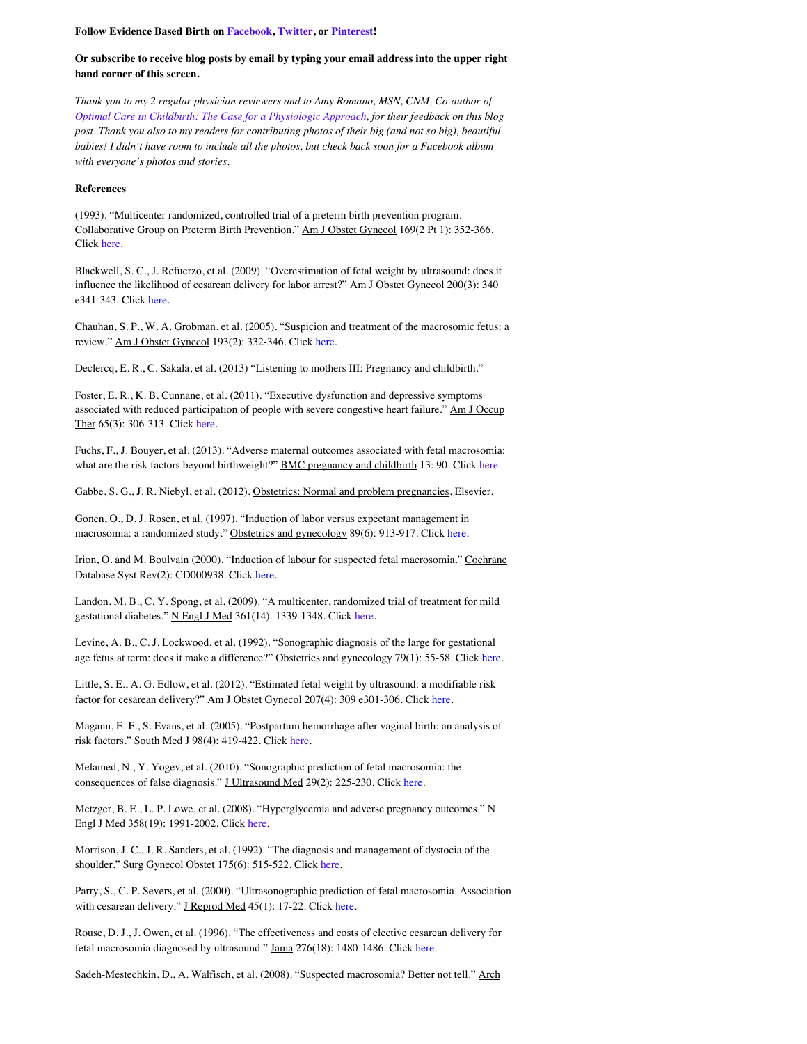#### **Follow Evidence Based Birth on [Facebook,](http://www.facebook.com/evidencebasedbirth) [Twitter,](http://www.twitter.com/birthevidence) or [Pinterest!](http://www.pinterest.com/birthevidence)**

#### **Or subscribe to receive blog posts by email by typing your email address into the upper right hand corner of this screen.**

*Thank you to my 2 regular physician reviewers and to Amy Romano, MSN, CNM, Co-author of [Optimal Care in Childbirth: The Case for a Physiologic Approach](http://www.optimalcareinchildbirth.com/), for their feedback on this blog post. Thank you also to my readers for contributing photos of their big (and not so big), beautiful babies! I didn't have room to include all the photos, but check back soon for a Facebook album with everyone's photos and stories.*

#### **References**

(1993). "Multicenter randomized, controlled trial of a preterm birth prevention program. Collaborative Group on Preterm Birth Prevention." Am J Obstet Gynecol 169(2 Pt 1): 352-366. Click [here.](http://www.ncbi.nlm.nih.gov/pubmed/8362947)

Blackwell, S. C., J. Refuerzo, et al. (2009). "Overestimation of fetal weight by ultrasound: does it influence the likelihood of cesarean delivery for labor arrest?" Am J Obstet Gynecol 200(3): 340 e341-343. Click [here.](http://www.ncbi.nlm.nih.gov/pubmed/19254597)

Chauhan, S. P., W. A. Grobman, et al. (2005). "Suspicion and treatment of the macrosomic fetus: a review." Am J Obstet Gynecol 193(2): 332-346. Click [here.](http://www.ncbi.nlm.nih.gov/pubmed/16098852)

Declercq, E. R., C. Sakala, et al. (2013) "Listening to mothers III: Pregnancy and childbirth."

Foster, E. R., K. B. Cunnane, et al. (2011). "Executive dysfunction and depressive symptoms associated with reduced participation of people with severe congestive heart failure." Am J Occup Ther 65(3): 306-313. Click [here](http://www.ncbi.nlm.nih.gov/pubmed/3591856).

Fuchs, F., J. Bouyer, et al. (2013). "Adverse maternal outcomes associated with fetal macrosomia: what are the risk factors beyond birthweight?" **BMC** pregnancy and childbirth 13: 90. Click [here](http://www.ncbi.nlm.nih.gov/pmc/articles/PMC3623722/).

Gabbe, S. G., J. R. Niebyl, et al. (2012). Obstetrics: Normal and problem pregnancies, Elsevier.

Gonen, O., D. J. Rosen, et al. (1997). "Induction of labor versus expectant management in macrosomia: a randomized study." Obstetrics and gynecology 89(6): 913-917. Click [here.](http://www.ncbi.nlm.nih.gov/pubmed/9170464)

Irion, O. and M. Boulvain (2000). "Induction of labour for suspected fetal macrosomia." Cochrane Database Syst Rev(2): CD000938. Click [here](http://www.ncbi.nlm.nih.gov/pubmed/10796221).

Landon, M. B., C. Y. Spong, et al. (2009). "A multicenter, randomized trial of treatment for mild gestational diabetes." N Engl J Med 361(14): 1339-1348. Click [here.](http://www.nejm.org/doi/full/10.1056/NEJMoa0902430#t=articleResults)

Levine, A. B., C. J. Lockwood, et al. (1992). "Sonographic diagnosis of the large for gestational age fetus at term: does it make a difference?" Obstetrics and gynecology 79(1): 55-58. Click [here](http://www.ncbi.nlm.nih.gov/pubmed/1727587).

Little, S. E., A. G. Edlow, et al. (2012). "Estimated fetal weight by ultrasound: a modifiable risk factor for cesarean delivery?" Am J Obstet Gynecol 207(4): 309 e301-306. Click [here](http://www.ncbi.nlm.nih.gov/pubmed/22902073).

Magann, E. F., S. Evans, et al. (2005). "Postpartum hemorrhage after vaginal birth: an analysis of risk factors." South Med J 98(4): 419-422. Clic[k here.](http://www.ncbi.nlm.nih.gov/pubmed/16108235)

Melamed, N., Y. Yogev, et al. (2010). "Sonographic prediction of fetal macrosomia: the consequences of false diagnosis." J Ultrasound Med 29(2): 225-230. Click [here.](http://www.ncbi.nlm.nih.gov/pubmed/20103792)

Metzger, B. E., L. P. Lowe, et al. (2008). "Hyperglycemia and adverse pregnancy outcomes."  $\underline{N}$ Engl J Med 358(19): 1991-2002. Click [here.](http://www.nejm.org/doi/full/10.1056/NEJMoa0707943#t=abstract)

Morrison, J. C., J. R. Sanders, et al. (1992). "The diagnosis and management of dystocia of the shoulder." Surg Gynecol Obstet 175(6): 515-522. Click [here.](http://www.ncbi.nlm.nih.gov/pubmed/1448731)

Parry, S., C. P. Severs, et al. (2000). "Ultrasonographic prediction of fetal macrosomia. Association with cesarean delivery." J Reprod Med 45(1): 17-22. Click [here.](http://www.ncbi.nlm.nih.gov/pubmed/10664942)

Rouse, D. J., J. Owen, et al. (1996). "The effectiveness and costs of elective cesarean delivery for fetal macrosomia diagnosed by ultrasound." Jama 276(18): 1480-1486. Clic[k here.](http://www.ncbi.nlm.nih.gov/pubmed/8903259)

Sadeh-Mestechkin, D., A. Walfisch, et al. (2008). "Suspected macrosomia? Better not tell." Arch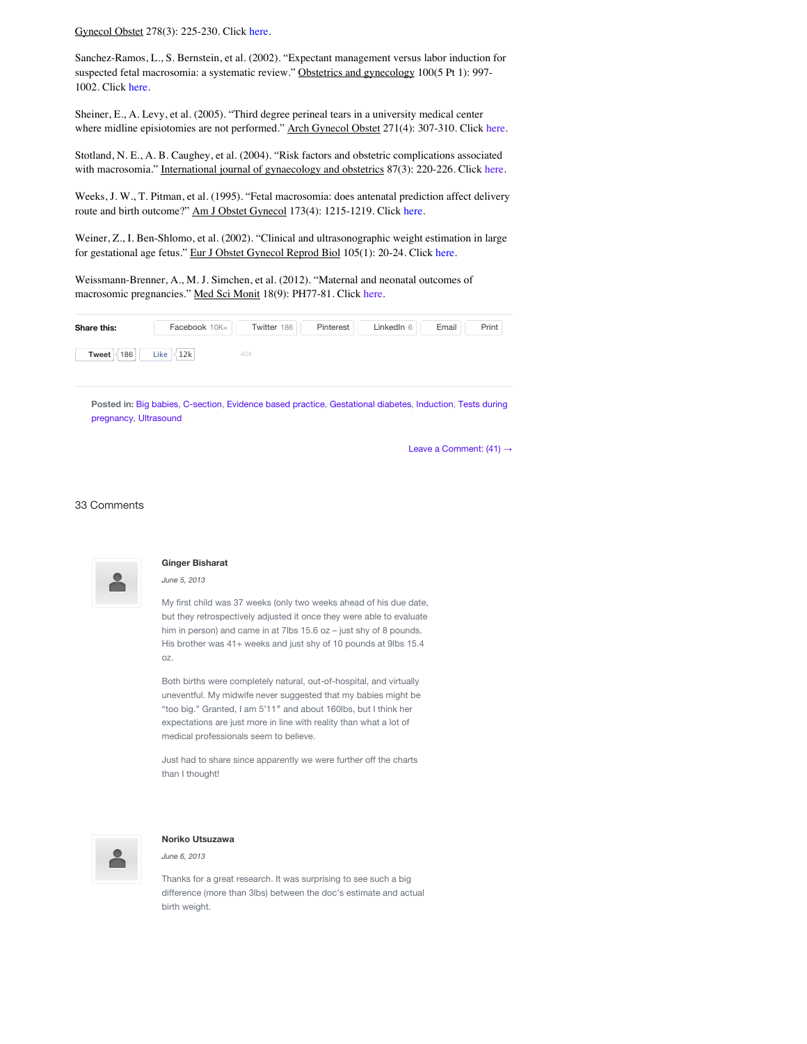Gynecol Obstet 278(3): 225-230. Click [here.](http://www.ncbi.nlm.nih.gov/pubmed/?term=18299867)

Sanchez-Ramos, L., S. Bernstein, et al. (2002). "Expectant management versus labor induction for suspected fetal macrosomia: a systematic review." Obstetrics and gynecology 100(5 Pt 1): 997-1002. Click [here](http://www.ncbi.nlm.nih.gov/pubmed/?term=sanchez+ramos+AND+macrosomia).

Sheiner, E., A. Levy, et al. (2005). "Third degree perineal tears in a university medical center where midline episiotomies are not performed." Arch Gynecol Obstet 271(4): 307-310. Click [here.](http://www.ncbi.nlm.nih.gov/pubmed/15024575)

Stotland, N. E., A. B. Caughey, et al. (2004). "Risk factors and obstetric complications associated with macrosomia." International journal of gynaecology and obstetrics 87(3): 220-226. Click [here](http://www.ncbi.nlm.nih.gov/pubmed/15548393).

Weeks, J. W., T. Pitman, et al. (1995). "Fetal macrosomia: does antenatal prediction affect delivery route and birth outcome?" Am J Obstet Gynecol 173(4): 1215-1219. Click [here.](http://www.ncbi.nlm.nih.gov/pubmed/7485323)

Weiner, Z., I. Ben-Shlomo, et al. (2002). "Clinical and ultrasonographic weight estimation in large for gestational age fetus." Eur J Obstet Gynecol Reprod Biol 105(1): 20-24. Click [here.](http://www.ncbi.nlm.nih.gov/pubmed/12270559)

Weissmann-Brenner, A., M. J. Simchen, et al. (2012). "Maternal and neonatal outcomes of macrosomic pregnancies." Med Sci Monit 18(9): PH77-81. Click [here](http://www.ncbi.nlm.nih.gov/pubmed/22936200).

| Share this:  | Facebook 10K+         | Twitter 186                                                                                                             | Pinterest | LinkedIn 6 | Email | Print |
|--------------|-----------------------|-------------------------------------------------------------------------------------------------------------------------|-----------|------------|-------|-------|
| 186<br>Tweet | Like $ 32k $          | 404                                                                                                                     |           |            |       |       |
|              | _ _ _ _ _ _ _ _ _ _ _ | ____<br>the contract of the contract of the contract of the contract of the contract of the contract of the contract of |           |            |       |       |

**Posted in:** [Big babies](http://evidencebasedbirth.com/category/big-babies-2/)[,](http://evidencebasedbirth.com/category/tests-during-pregnancy/) [C-sectio](http://evidencebasedbirth.com/category/c-section/)[n,](http://evidencebasedbirth.com/category/tests-during-pregnancy/) [Evidence based practice](http://evidencebasedbirth.com/category/evidence-based-practice/)[,](http://evidencebasedbirth.com/category/tests-during-pregnancy/) [Gestational diabetes](http://evidencebasedbirth.com/category/gestational-diabetes-2/)[,](http://evidencebasedbirth.com/category/tests-during-pregnancy/) [Inductio](http://evidencebasedbirth.com/category/induction/)[n, Tests during](http://evidencebasedbirth.com/category/tests-during-pregnancy/) pregnancy, [Ultrasound](http://evidencebasedbirth.com/category/ultrasound/)

[Leave a Comment: \(41\)](http://evidencebasedbirth.com/evidence-for-induction-or-c-section-for-big-baby/#respond) →

33 Comments



## **Ginger Bisharat**

*June 5, 2013*

My first child was 37 weeks (only two weeks ahead of his due date, but they retrospectively adjusted it once they were able to evaluate him in person) and came in at 7lbs 15.6 oz – just shy of 8 pounds. His brother was 41+ weeks and just shy of 10 pounds at 9lbs 15.4 oz.

Both births were completely natural, out-of-hospital, and virtually uneventful. My midwife never suggested that my babies might be "too big." Granted, I am 5'11″ and about 160lbs, but I think her expectations are just more in line with reality than what a lot of medical professionals seem to believe.

Just had to share since apparently we were further off the charts than I thought!



#### **Noriko Utsuzawa**

*June 6, 2013*

Thanks for a great research. It was surprising to see such a big difference (more than 3lbs) between the doc's estimate and actual birth weight.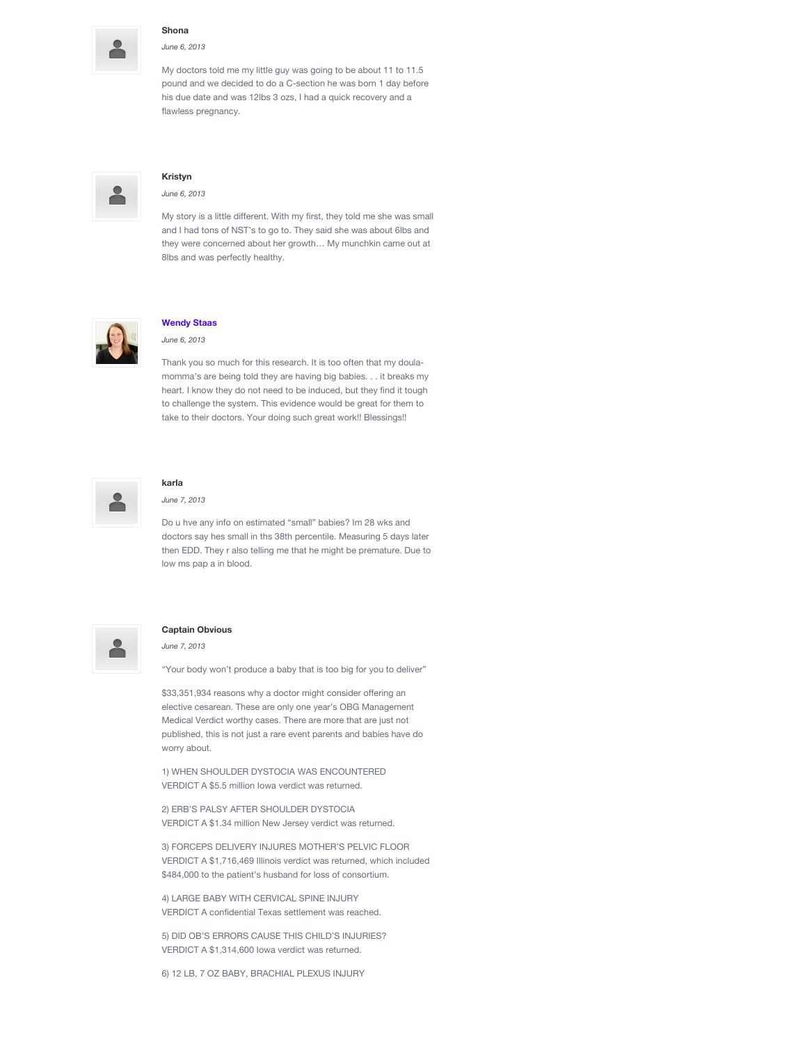

#### **Shona**

*June 6, 2013*

My doctors told me my little guy was going to be about 11 to 11.5 pound and we decided to do a C-section he was born 1 day before his due date and was 12lbs 3 ozs, I had a quick recovery and a flawless pregnancy.



#### **Kristyn**

*June 6, 2013*

My story is a little different. With my first, they told me she was small and I had tons of NST's to go to. They said she was about 6lbs and they were concerned about her growth… My munchkin came out at 8lbs and was perfectly healthy.



#### **[Wendy Staas](http://www.naturalbirthevangelist.com/)**

*June 6, 2013*

Thank you so much for this research. It is too often that my doulamomma's are being told they are having big babies. . . it breaks my heart. I know they do not need to be induced, but they find it tough to challenge the system. This evidence would be great for them to take to their doctors. Your doing such great work!! Blessings!!



#### **karla** *June 7, 2013*

Do u hve any info on estimated "small" babies? Im 28 wks and doctors say hes small in ths 38th percentile. Measuring 5 days later then EDD. They r also telling me that he might be premature. Due to low ms pap a in blood.



#### **Captain Obvious**

*June 7, 2013*

"Your body won't produce a baby that is too big for you to deliver"

\$33,351,934 reasons why a doctor might consider offering an elective cesarean. These are only one year's OBG Management Medical Verdict worthy cases. There are more that are just not published, this is not just a rare event parents and babies have do worry about.

1) WHEN SHOULDER DYSTOCIA WAS ENCOUNTERED VERDICT A \$5.5 million Iowa verdict was returned.

2) ERB'S PALSY AFTER SHOULDER DYSTOCIA VERDICT A \$1.34 million New Jersey verdict was returned.

3) FORCEPS DELIVERY INJURES MOTHER'S PELVIC FLOOR VERDICT A \$1,716,469 Illinois verdict was returned, which included \$484,000 to the patient's husband for loss of consortium.

4) LARGE BABY WITH CERVICAL SPINE INJURY VERDICT A confidential Texas settlement was reached.

5) DID OB'S ERRORS CAUSE THIS CHILD'S INJURIES? VERDICT A \$1,314,600 Iowa verdict was returned.

6) 12 LB, 7 OZ BABY, BRACHIAL PLEXUS INJURY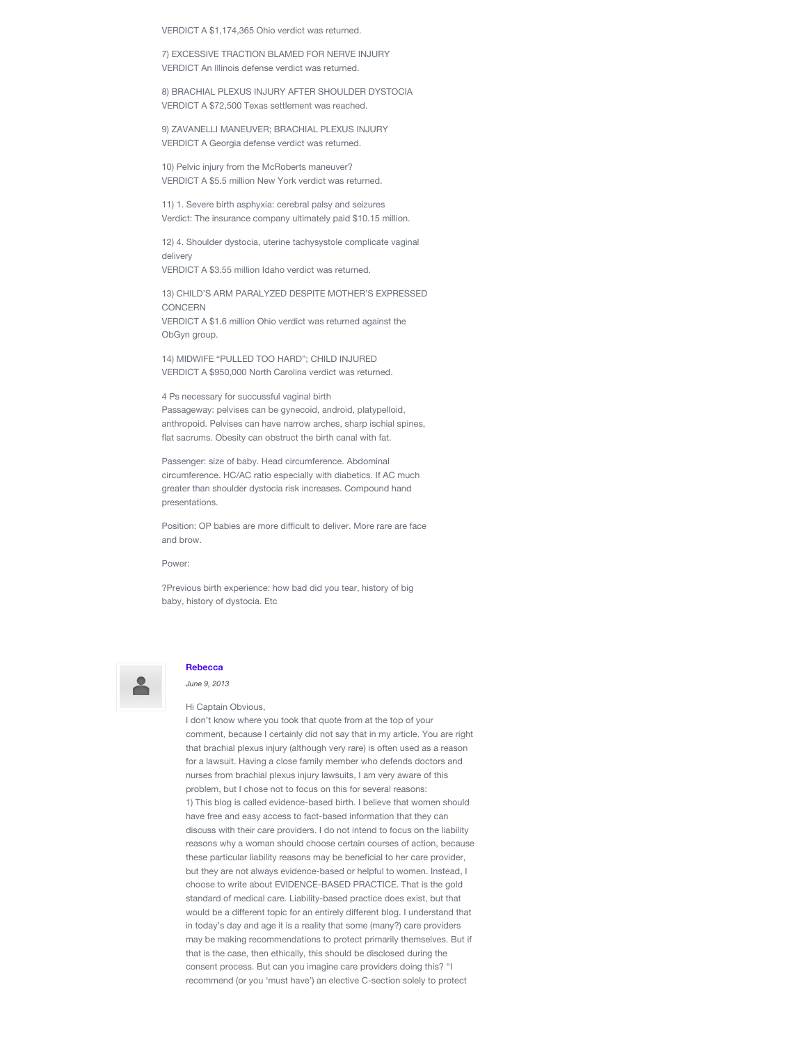VERDICT A \$1,174,365 Ohio verdict was returned.

7) EXCESSIVE TRACTION BLAMED FOR NERVE INJURY VERDICT An Illinois defense verdict was returned.

8) BRACHIAL PLEXUS INJURY AFTER SHOULDER DYSTOCIA VERDICT A \$72,500 Texas settlement was reached.

9) ZAVANELLI MANEUVER; BRACHIAL PLEXUS INJURY VERDICT A Georgia defense verdict was returned.

10) Pelvic injury from the McRoberts maneuver? VERDICT A \$5.5 million New York verdict was returned.

11) 1. Severe birth asphyxia: cerebral palsy and seizures Verdict: The insurance company ultimately paid \$10.15 million.

12) 4. Shoulder dystocia, uterine tachysystole complicate vaginal delivery

VERDICT A \$3.55 million Idaho verdict was returned.

13) CHILD'S ARM PARALYZED DESPITE MOTHER'S EXPRESSED CONCERN VERDICT A \$1.6 million Ohio verdict was returned against the ObGyn group.

14) MIDWIFE "PULLED TOO HARD"; CHILD INJURED VERDICT A \$950,000 North Carolina verdict was returned.

4 Ps necessary for succussful vaginal birth Passageway: pelvises can be gynecoid, android, platypelloid, anthropoid. Pelvises can have narrow arches, sharp ischial spines, flat sacrums. Obesity can obstruct the birth canal with fat.

Passenger: size of baby. Head circumference. Abdominal circumference. HC/AC ratio especially with diabetics. If AC much greater than shoulder dystocia risk increases. Compound hand presentations.

Position: OP babies are more difficult to deliver. More rare are face and brow.

Power:

?Previous birth experience: how bad did you tear, history of big baby, history of dystocia. Etc



#### **[Rebecca](http://www.evidencebasedbirth.com/)**

*June 9, 2013*

Hi Captain Obvious,

I don't know where you took that quote from at the top of your comment, because I certainly did not say that in my article. You are right that brachial plexus injury (although very rare) is often used as a reason for a lawsuit. Having a close family member who defends doctors and nurses from brachial plexus injury lawsuits, I am very aware of this problem, but I chose not to focus on this for several reasons: 1) This blog is called evidence-based birth. I believe that women should have free and easy access to fact-based information that they can discuss with their care providers. I do not intend to focus on the liability reasons why a woman should choose certain courses of action, because these particular liability reasons may be beneficial to her care provider, but they are not always evidence-based or helpful to women. Instead, I choose to write about EVIDENCE-BASED PRACTICE. That is the gold standard of medical care. Liability-based practice does exist, but that would be a different topic for an entirely different blog. I understand that in today's day and age it is a reality that some (many?) care providers may be making recommendations to protect primarily themselves. But if that is the case, then ethically, this should be disclosed during the consent process. But can you imagine care providers doing this? "I recommend (or you 'must have') an elective C-section solely to protect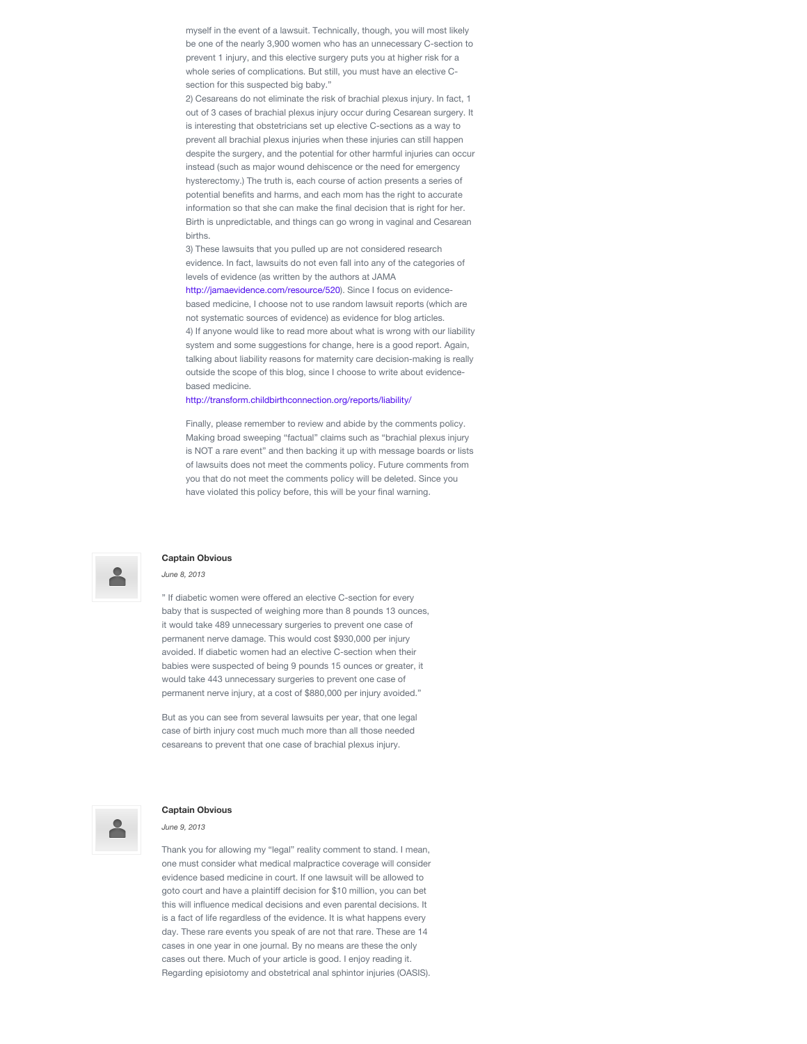myself in the event of a lawsuit. Technically, though, you will most likely be one of the nearly 3,900 women who has an unnecessary C-section to prevent 1 injury, and this elective surgery puts you at higher risk for a whole series of complications. But still, you must have an elective Csection for this suspected big baby."

2) Cesareans do not eliminate the risk of brachial plexus injury. In fact, 1 out of 3 cases of brachial plexus injury occur during Cesarean surgery. It is interesting that obstetricians set up elective C-sections as a way to prevent all brachial plexus injuries when these injuries can still happen despite the surgery, and the potential for other harmful injuries can occur instead (such as major wound dehiscence or the need for emergency hysterectomy.) The truth is, each course of action presents a series of potential benefits and harms, and each mom has the right to accurate information so that she can make the final decision that is right for her. Birth is unpredictable, and things can go wrong in vaginal and Cesarean births.

3) These lawsuits that you pulled up are not considered research evidence. In fact, lawsuits do not even fall into any of the categories of levels of evidence (as written by the authors at JAMA

<http://jamaevidence.com/resource/520>). Since I focus on evidencebased medicine, I choose not to use random lawsuit reports (which are not systematic sources of evidence) as evidence for blog articles. 4) If anyone would like to read more about what is wrong with our liability system and some suggestions for change, here is a good report. Again, talking about liability reasons for maternity care decision-making is really outside the scope of this blog, since I choose to write about evidencebased medicine.

#### <http://transform.childbirthconnection.org/reports/liability/>

Finally, please remember to review and abide by the comments policy. Making broad sweeping "factual" claims such as "brachial plexus injury is NOT a rare event" and then backing it up with message boards or lists of lawsuits does not meet the comments policy. Future comments from you that do not meet the comments policy will be deleted. Since you have violated this policy before, this will be your final warning.



#### **Captain Obvious**

#### *June 8, 2013*

" If diabetic women were offered an elective C-section for every baby that is suspected of weighing more than 8 pounds 13 ounces, it would take 489 unnecessary surgeries to prevent one case of permanent nerve damage. This would cost \$930,000 per injury avoided. If diabetic women had an elective C-section when their babies were suspected of being 9 pounds 15 ounces or greater, it would take 443 unnecessary surgeries to prevent one case of permanent nerve injury, at a cost of \$880,000 per injury avoided."

But as you can see from several lawsuits per year, that one legal case of birth injury cost much much more than all those needed cesareans to prevent that one case of brachial plexus injury.

#### **Captain Obvious**

*June 9, 2013*

Thank you for allowing my "legal" reality comment to stand. I mean, one must consider what medical malpractice coverage will consider evidence based medicine in court. If one lawsuit will be allowed to goto court and have a plaintiff decision for \$10 million, you can bet this will influence medical decisions and even parental decisions. It is a fact of life regardless of the evidence. It is what happens every day. These rare events you speak of are not that rare. These are 14 cases in one year in one journal. By no means are these the only cases out there. Much of your article is good. I enjoy reading it. Regarding episiotomy and obstetrical anal sphintor injuries (OASIS).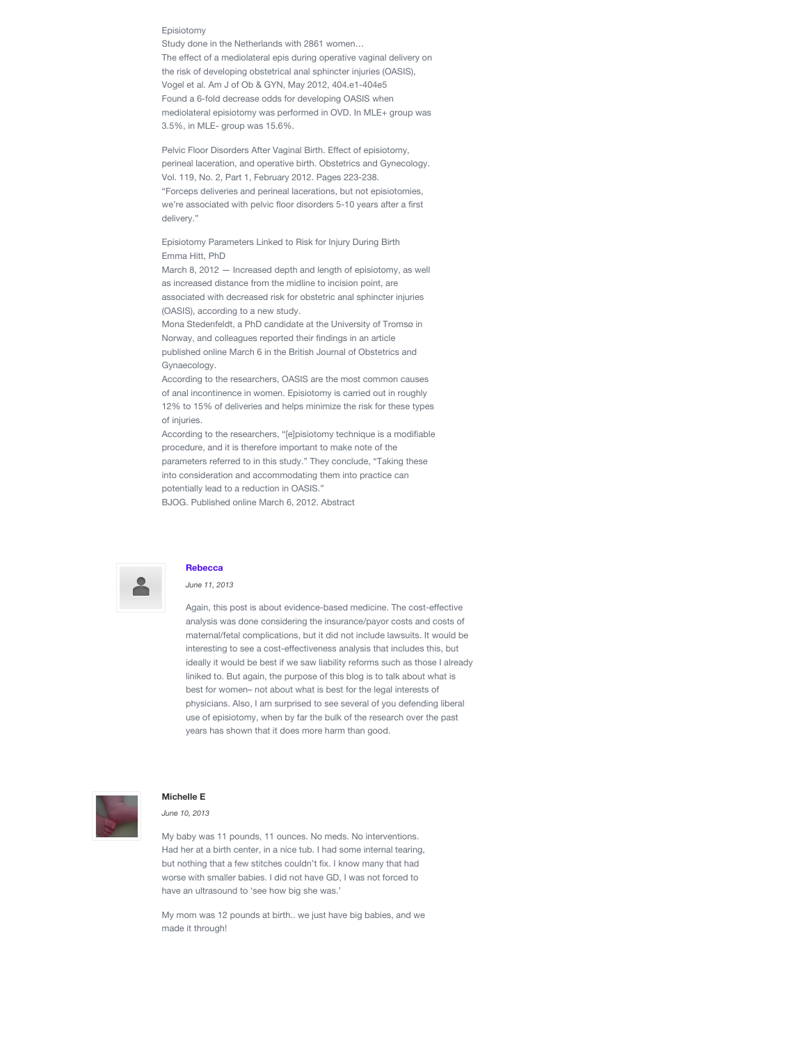#### Episiotomy

Study done in the Netherlands with 2861 women… The effect of a mediolateral epis during operative vaginal delivery on the risk of developing obstetrical anal sphincter injuries (OASIS), Vogel et al. Am J of Ob & GYN, May 2012, 404.e1-404e5 Found a 6-fold decrease odds for developing OASIS when mediolateral episiotomy was performed in OVD. In MLE+ group was 3.5%, in MLE- group was 15.6%.

Pelvic Floor Disorders After Vaginal Birth. Effect of episiotomy, perineal laceration, and operative birth. Obstetrics and Gynecology. Vol. 119, No. 2, Part 1, February 2012. Pages 223-238. "Forceps deliveries and perineal lacerations, but not episiotomies, we're associated with pelvic floor disorders 5-10 years after a first delivery."

Episiotomy Parameters Linked to Risk for Injury During Birth Emma Hitt, PhD

March 8, 2012 — Increased depth and length of episiotomy, as well as increased distance from the midline to incision point, are associated with decreased risk for obstetric anal sphincter injuries (OASIS), according to a new study.

Mona Stedenfeldt, a PhD candidate at the University of Tromsø in Norway, and colleagues reported their findings in an article published online March 6 in the British Journal of Obstetrics and Gynaecology.

According to the researchers, OASIS are the most common causes of anal incontinence in women. Episiotomy is carried out in roughly 12% to 15% of deliveries and helps minimize the risk for these types of injuries.

According to the researchers, "[e]pisiotomy technique is a modifiable procedure, and it is therefore important to make note of the parameters referred to in this study." They conclude, "Taking these into consideration and accommodating them into practice can potentially lead to a reduction in OASIS."

BJOG. Published online March 6, 2012. Abstract



#### **[Rebecca](http://www.evidencebasedbirth.com/)**

*June 11, 2013*

Again, this post is about evidence-based medicine. The cost-effective analysis was done considering the insurance/payor costs and costs of maternal/fetal complications, but it did not include lawsuits. It would be interesting to see a cost-effectiveness analysis that includes this, but ideally it would be best if we saw liability reforms such as those I already liniked to. But again, the purpose of this blog is to talk about what is best for women– not about what is best for the legal interests of physicians. Also, I am surprised to see several of you defending liberal use of episiotomy, when by far the bulk of the research over the past years has shown that it does more harm than good.



#### **Michelle E**

*June 10, 2013*

My baby was 11 pounds, 11 ounces. No meds. No interventions. Had her at a birth center, in a nice tub. I had some internal tearing, but nothing that a few stitches couldn't fix. I know many that had worse with smaller babies. I did not have GD, I was not forced to have an ultrasound to 'see how big she was.'

My mom was 12 pounds at birth.. we just have big babies, and we made it through!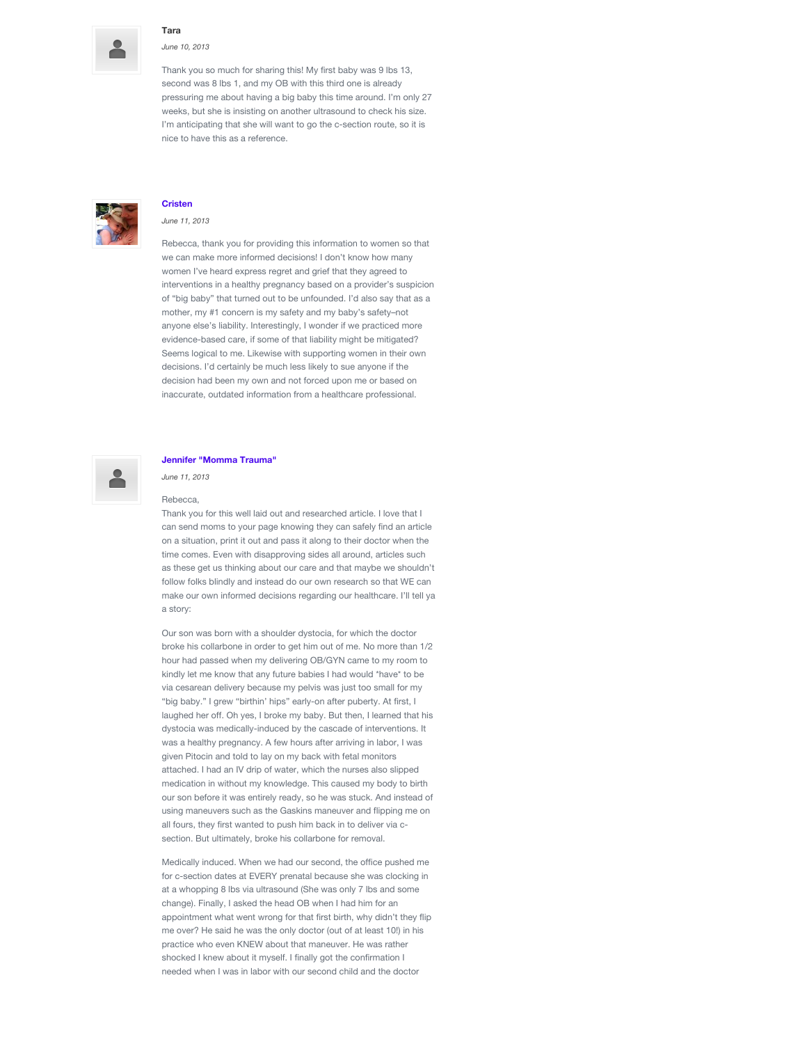

#### **Tara**

*June 10, 2013*

Thank you so much for sharing this! My first baby was 9 lbs 13, second was 8 lbs 1, and my OB with this third one is already pressuring me about having a big baby this time around. I'm only 27 weeks, but she is insisting on another ultrasound to check his size. I'm anticipating that she will want to go the c-section route, so it is nice to have this as a reference.



#### **[Cristen](http://www.improvingbirth.org/)**

*June 11, 2013*

Rebecca, thank you for providing this information to women so that we can make more informed decisions! I don't know how many women I've heard express regret and grief that they agreed to interventions in a healthy pregnancy based on a provider's suspicion of "big baby" that turned out to be unfounded. I'd also say that as a mother, my #1 concern is my safety and my baby's safety–not anyone else's liability. Interestingly, I wonder if we practiced more evidence-based care, if some of that liability might be mitigated? Seems logical to me. Likewise with supporting women in their own decisions. I'd certainly be much less likely to sue anyone if the decision had been my own and not forced upon me or based on inaccurate, outdated information from a healthcare professional.

#### **[Jennifer "Momma Trauma"](http://www.mommatraumablog.com/)**

*June 11, 2013*

#### Rebecca,

Thank you for this well laid out and researched article. I love that I can send moms to your page knowing they can safely find an article on a situation, print it out and pass it along to their doctor when the time comes. Even with disapproving sides all around, articles such as these get us thinking about our care and that maybe we shouldn't follow folks blindly and instead do our own research so that WE can make our own informed decisions regarding our healthcare. I'll tell ya a story:

Our son was born with a shoulder dystocia, for which the doctor broke his collarbone in order to get him out of me. No more than 1/2 hour had passed when my delivering OB/GYN came to my room to kindly let me know that any future babies I had would \*have\* to be via cesarean delivery because my pelvis was just too small for my "big baby." I grew "birthin' hips" early-on after puberty. At first, I laughed her off. Oh yes, I broke my baby. But then, I learned that his dystocia was medically-induced by the cascade of interventions. It was a healthy pregnancy. A few hours after arriving in labor, I was given Pitocin and told to lay on my back with fetal monitors attached. I had an IV drip of water, which the nurses also slipped medication in without my knowledge. This caused my body to birth our son before it was entirely ready, so he was stuck. And instead of using maneuvers such as the Gaskins maneuver and flipping me on all fours, they first wanted to push him back in to deliver via csection. But ultimately, broke his collarbone for removal.

Medically induced. When we had our second, the office pushed me for c-section dates at EVERY prenatal because she was clocking in at a whopping 8 lbs via ultrasound (She was only 7 lbs and some change). Finally, I asked the head OB when I had him for an appointment what went wrong for that first birth, why didn't they flip me over? He said he was the only doctor (out of at least 10!) in his practice who even KNEW about that maneuver. He was rather shocked I knew about it myself. I finally got the confirmation I needed when I was in labor with our second child and the doctor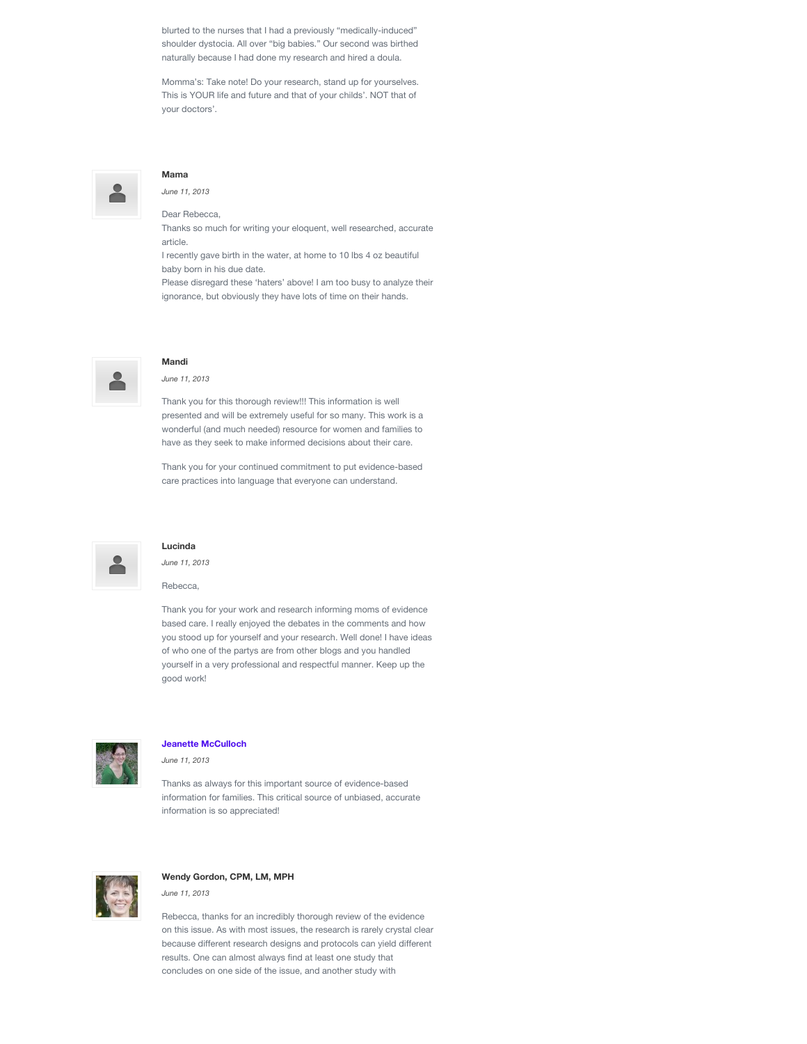blurted to the nurses that I had a previously "medically-induced" shoulder dystocia. All over "big babies." Our second was birthed naturally because I had done my research and hired a doula.

Momma's: Take note! Do your research, stand up for yourselves. This is YOUR life and future and that of your childs'. NOT that of your doctors'.



## **Mama**

*June 11, 2013*

Dear Rebecca,

Thanks so much for writing your eloquent, well researched, accurate article.

I recently gave birth in the water, at home to 10 lbs 4 oz beautiful baby born in his due date.

Please disregard these 'haters' above! I am too busy to analyze their ignorance, but obviously they have lots of time on their hands.



#### **Mandi**

#### *June 11, 2013*

Thank you for this thorough review!!! This information is well presented and will be extremely useful for so many. This work is a wonderful (and much needed) resource for women and families to have as they seek to make informed decisions about their care.

Thank you for your continued commitment to put evidence-based care practices into language that everyone can understand.



#### **Lucinda**

*June 11, 2013*

Rebecca,

Thank you for your work and research informing moms of evidence based care. I really enjoyed the debates in the comments and how you stood up for yourself and your research. Well done! I have ideas of who one of the partys are from other blogs and you handled yourself in a very professional and respectful manner. Keep up the good work!



#### **[Jeanette McCulloch](http://www.birthswell.com/)**

*June 11, 2013*

Thanks as always for this important source of evidence-based information for families. This critical source of unbiased, accurate information is so appreciated!



## **Wendy Gordon, CPM, LM, MPH**

*June 11, 2013*

Rebecca, thanks for an incredibly thorough review of the evidence on this issue. As with most issues, the research is rarely crystal clear because different research designs and protocols can yield different results. One can almost always find at least one study that concludes on one side of the issue, and another study with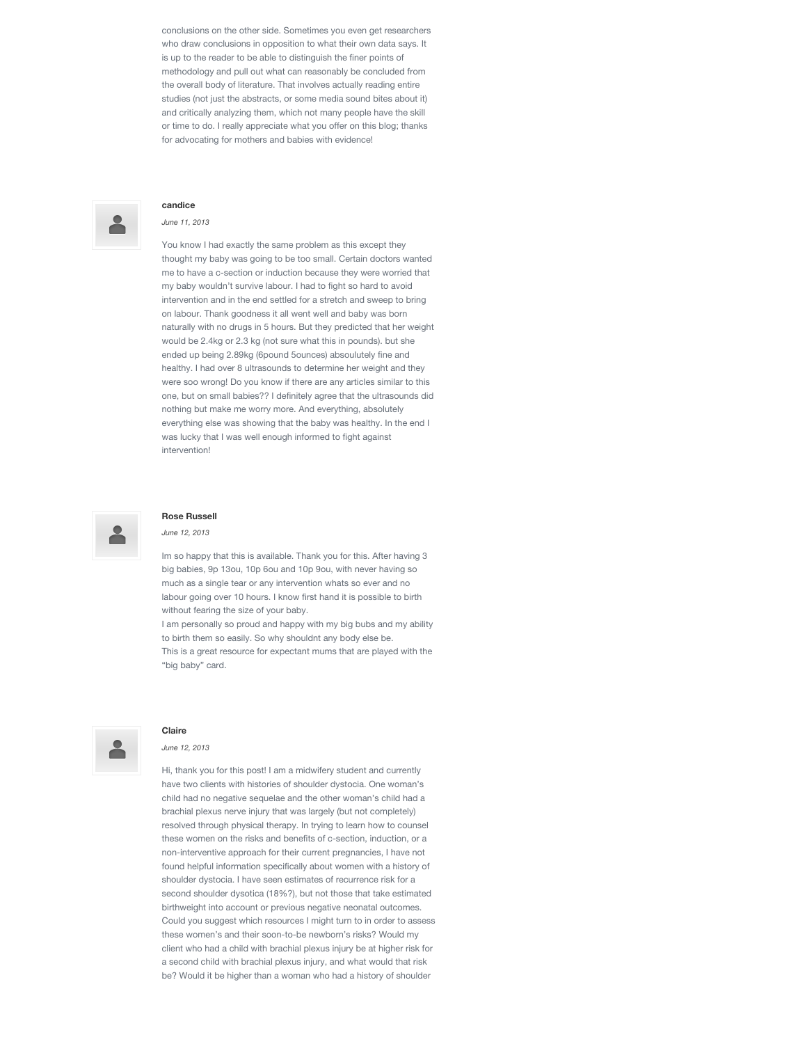conclusions on the other side. Sometimes you even get researchers who draw conclusions in opposition to what their own data says. It is up to the reader to be able to distinguish the finer points of methodology and pull out what can reasonably be concluded from the overall body of literature. That involves actually reading entire studies (not just the abstracts, or some media sound bites about it) and critically analyzing them, which not many people have the skill or time to do. I really appreciate what you offer on this blog; thanks for advocating for mothers and babies with evidence!



## **candice**

#### *June 11, 2013*

You know I had exactly the same problem as this except they thought my baby was going to be too small. Certain doctors wanted me to have a c-section or induction because they were worried that my baby wouldn't survive labour. I had to fight so hard to avoid intervention and in the end settled for a stretch and sweep to bring on labour. Thank goodness it all went well and baby was born naturally with no drugs in 5 hours. But they predicted that her weight would be 2.4kg or 2.3 kg (not sure what this in pounds). but she ended up being 2.89kg (6pound 5ounces) absoulutely fine and healthy. I had over 8 ultrasounds to determine her weight and they were soo wrong! Do you know if there are any articles similar to this one, but on small babies?? I definitely agree that the ultrasounds did nothing but make me worry more. And everything, absolutely everything else was showing that the baby was healthy. In the end I was lucky that I was well enough informed to fight against intervention!



#### **Rose Russell**

#### *June 12, 2013*

Im so happy that this is available. Thank you for this. After having 3 big babies, 9p 13ou, 10p 6ou and 10p 9ou, with never having so much as a single tear or any intervention whats so ever and no labour going over 10 hours. I know first hand it is possible to birth without fearing the size of your baby.

I am personally so proud and happy with my big bubs and my ability to birth them so easily. So why shouldnt any body else be. This is a great resource for expectant mums that are played with the "big baby" card.



#### **Claire**

*June 12, 2013*

Hi, thank you for this post! I am a midwifery student and currently have two clients with histories of shoulder dystocia. One woman's child had no negative sequelae and the other woman's child had a brachial plexus nerve injury that was largely (but not completely) resolved through physical therapy. In trying to learn how to counsel these women on the risks and benefits of c-section, induction, or a non-interventive approach for their current pregnancies, I have not found helpful information specifically about women with a history of shoulder dystocia. I have seen estimates of recurrence risk for a second shoulder dysotica (18%?), but not those that take estimated birthweight into account or previous negative neonatal outcomes. Could you suggest which resources I might turn to in order to assess these women's and their soon-to-be newborn's risks? Would my client who had a child with brachial plexus injury be at higher risk for a second child with brachial plexus injury, and what would that risk be? Would it be higher than a woman who had a history of shoulder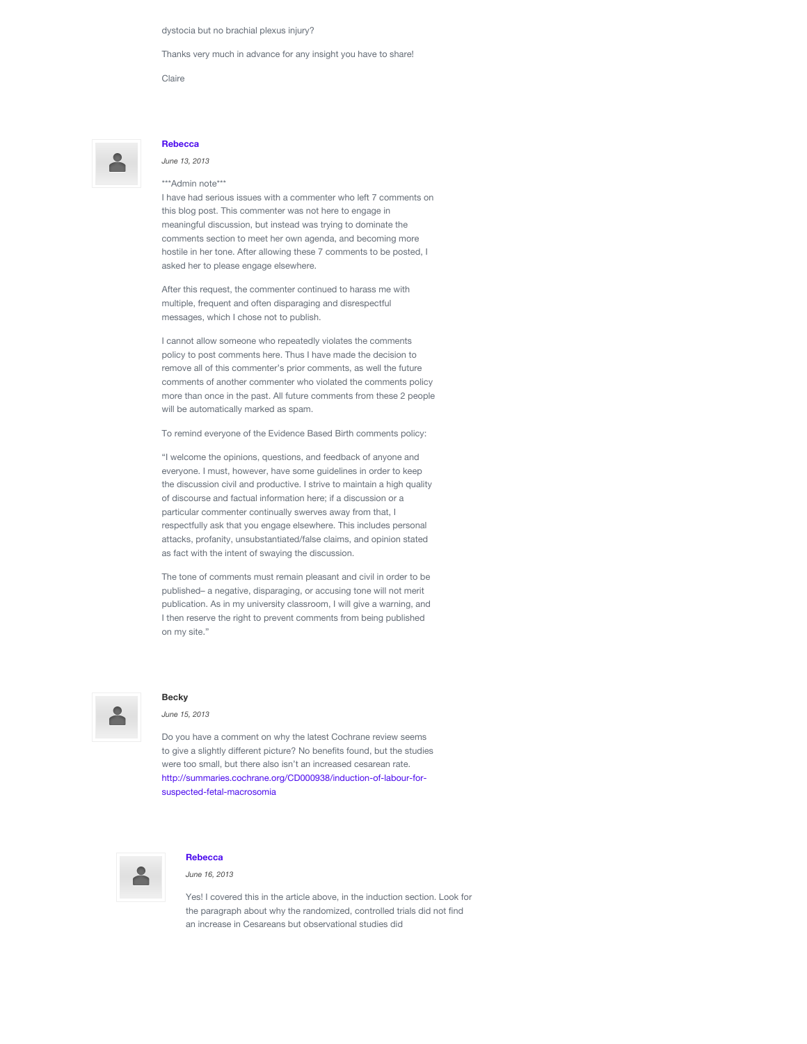dystocia but no brachial plexus injury?

asked her to please engage elsewhere.

Thanks very much in advance for any insight you have to share!

Claire

## **[Rebecca](http://www.evidencebasedbirth.com/)**

*June 13, 2013* \*\*\*Admin note\*\*\*

I have had serious issues with a commenter who left 7 comments on this blog post. This commenter was not here to engage in meaningful discussion, but instead was trying to dominate the comments section to meet her own agenda, and becoming more hostile in her tone. After allowing these 7 comments to be posted, I

After this request, the commenter continued to harass me with multiple, frequent and often disparaging and disrespectful messages, which I chose not to publish.

I cannot allow someone who repeatedly violates the comments policy to post comments here. Thus I have made the decision to remove all of this commenter's prior comments, as well the future comments of another commenter who violated the comments policy more than once in the past. All future comments from these 2 people will be automatically marked as spam.

To remind everyone of the Evidence Based Birth comments policy:

"I welcome the opinions, questions, and feedback of anyone and everyone. I must, however, have some guidelines in order to keep the discussion civil and productive. I strive to maintain a high quality of discourse and factual information here; if a discussion or a particular commenter continually swerves away from that, I respectfully ask that you engage elsewhere. This includes personal attacks, profanity, unsubstantiated/false claims, and opinion stated as fact with the intent of swaying the discussion.

The tone of comments must remain pleasant and civil in order to be published– a negative, disparaging, or accusing tone will not merit publication. As in my university classroom, I will give a warning, and I then reserve the right to prevent comments from being published on my site."



### **Becky**

*June 15, 2013*

Do you have a comment on why the latest Cochrane review seems to give a slightly different picture? No benefits found, but the studies were too small, but there also isn't an increased cesarean rate. [http://summaries.cochrane.org/CD000938/induction-of-labour-for](http://summaries.cochrane.org/CD000938/induction-of-labour-for-suspected-fetal-macrosomia)suspected-fetal-macrosomia



#### **[Rebecca](http://www.evidencebasedbirth.com/)**

*June 16, 2013*

Yes! I covered this in the article above, in the induction section. Look for the paragraph about why the randomized, controlled trials did not find an increase in Cesareans but observational studies did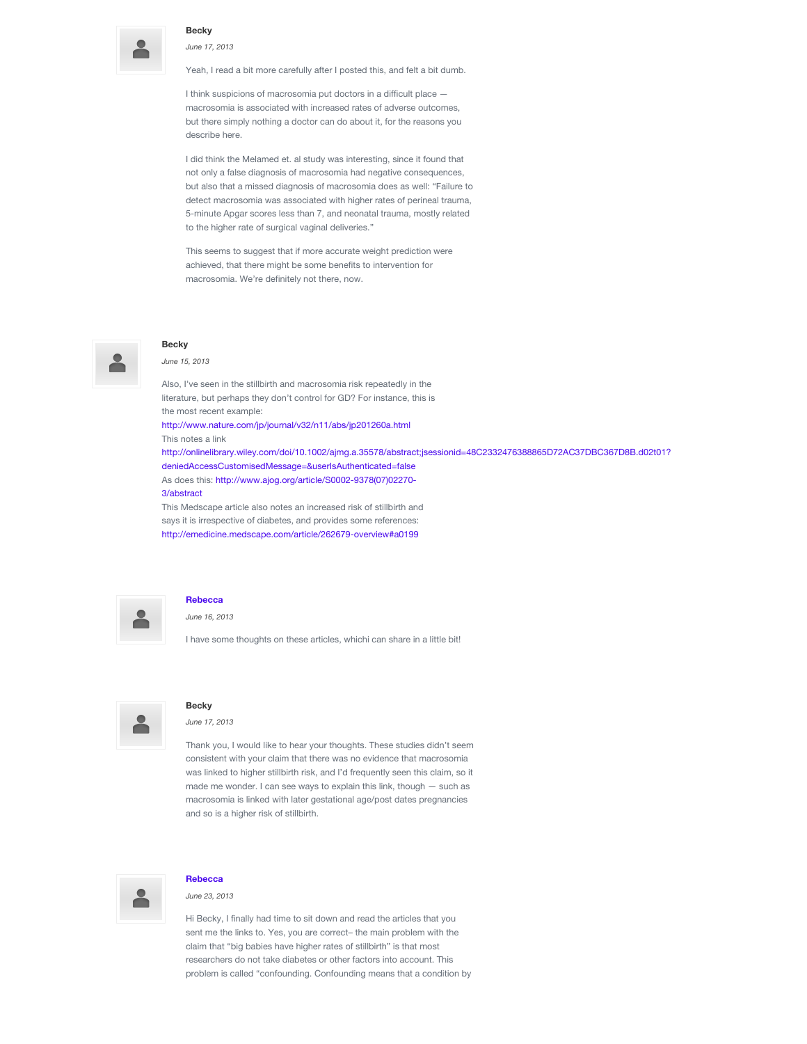

#### **Becky**

*June 17, 2013*

Yeah, I read a bit more carefully after I posted this, and felt a bit dumb.

I think suspicions of macrosomia put doctors in a difficult place macrosomia is associated with increased rates of adverse outcomes, but there simply nothing a doctor can do about it, for the reasons you describe here.

I did think the Melamed et. al study was interesting, since it found that not only a false diagnosis of macrosomia had negative consequences, but also that a missed diagnosis of macrosomia does as well: "Failure to detect macrosomia was associated with higher rates of perineal trauma, 5-minute Apgar scores less than 7, and neonatal trauma, mostly related to the higher rate of surgical vaginal deliveries."

This seems to suggest that if more accurate weight prediction were achieved, that there might be some benefits to intervention for macrosomia. We're definitely not there, now.



# **Becky**

*June 15, 2013*

Also, I've seen in the stillbirth and macrosomia risk repeatedly in the literature, but perhaps they don't control for GD? For instance, this is the most recent example:

<http://www.nature.com/jp/journal/v32/n11/abs/jp201260a.html> This notes a link

[http://onlinelibrary.wiley.com/doi/10.1002/ajmg.a.35578/abstract;jsessionid=48C2332476388865D72AC37DBC367D8B.d02t01?](http://onlinelibrary.wiley.com/doi/10.1002/ajmg.a.35578/abstract;jsessionid=48C2332476388865D72AC37DBC367D8B.d02t01?deniedAccessCustomisedMessage=&userIsAuthenticated=false) deniedAccessCustomisedMessage=&userIsAuthenticated=false [As does this: http://www.ajog.org/article/S0002-9378\(07\)02270-](http://www.ajog.org/article/S0002-9378(07)02270-3/abstract) 3/abstract This Medscape article also notes an increased risk of stillbirth and

says it is irrespective of diabetes, and provides some references: <http://emedicine.medscape.com/article/262679-overview#a0199>



#### **[Rebecca](http://www.evidencebasedbirth.com/)**

*June 16, 2013*

I have some thoughts on these articles, whichi can share in a little bit!



#### **Becky**

*June 17, 2013*

Thank you, I would like to hear your thoughts. These studies didn't seem consistent with your claim that there was no evidence that macrosomia was linked to higher stillbirth risk, and I'd frequently seen this claim, so it made me wonder. I can see ways to explain this link, though — such as macrosomia is linked with later gestational age/post dates pregnancies and so is a higher risk of stillbirth.



#### **[Rebecca](http://www.evidencebasedbirth.com/)**

*June 23, 2013*

Hi Becky, I finally had time to sit down and read the articles that you sent me the links to. Yes, you are correct– the main problem with the claim that "big babies have higher rates of stillbirth" is that most researchers do not take diabetes or other factors into account. This problem is called "confounding. Confounding means that a condition by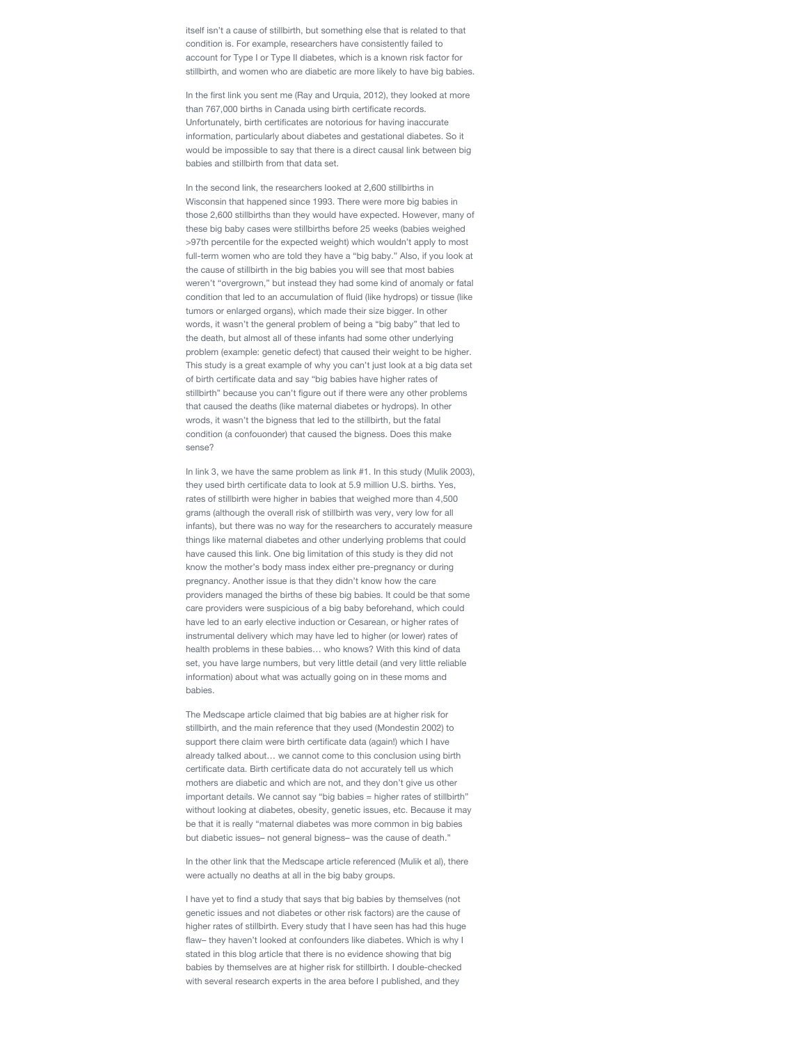itself isn't a cause of stillbirth, but something else that is related to that condition is. For example, researchers have consistently failed to account for Type I or Type II diabetes, which is a known risk factor for stillbirth, and women who are diabetic are more likely to have big babies.

In the first link you sent me (Ray and Urquia, 2012), they looked at more than 767,000 births in Canada using birth certificate records. Unfortunately, birth certificates are notorious for having inaccurate information, particularly about diabetes and gestational diabetes. So it would be impossible to say that there is a direct causal link between big babies and stillbirth from that data set.

In the second link, the researchers looked at 2,600 stillbirths in Wisconsin that happened since 1993. There were more big babies in those 2,600 stillbirths than they would have expected. However, many of these big baby cases were stillbirths before 25 weeks (babies weighed >97th percentile for the expected weight) which wouldn't apply to most full-term women who are told they have a "big baby." Also, if you look at the cause of stillbirth in the big babies you will see that most babies weren't "overgrown," but instead they had some kind of anomaly or fatal condition that led to an accumulation of fluid (like hydrops) or tissue (like tumors or enlarged organs), which made their size bigger. In other words, it wasn't the general problem of being a "big baby" that led to the death, but almost all of these infants had some other underlying problem (example: genetic defect) that caused their weight to be higher. This study is a great example of why you can't just look at a big data set of birth certificate data and say "big babies have higher rates of stillbirth" because you can't figure out if there were any other problems that caused the deaths (like maternal diabetes or hydrops). In other wrods, it wasn't the bigness that led to the stillbirth, but the fatal condition (a confouonder) that caused the bigness. Does this make sense?

In link 3, we have the same problem as link #1. In this study (Mulik 2003), they used birth certificate data to look at 5.9 million U.S. births. Yes, rates of stillbirth were higher in babies that weighed more than 4,500 grams (although the overall risk of stillbirth was very, very low for all infants), but there was no way for the researchers to accurately measure things like maternal diabetes and other underlying problems that could have caused this link. One big limitation of this study is they did not know the mother's body mass index either pre-pregnancy or during pregnancy. Another issue is that they didn't know how the care providers managed the births of these big babies. It could be that some care providers were suspicious of a big baby beforehand, which could have led to an early elective induction or Cesarean, or higher rates of instrumental delivery which may have led to higher (or lower) rates of health problems in these babies… who knows? With this kind of data set, you have large numbers, but very little detail (and very little reliable information) about what was actually going on in these moms and babies.

The Medscape article claimed that big babies are at higher risk for stillbirth, and the main reference that they used (Mondestin 2002) to support there claim were birth certificate data (again!) which I have already talked about… we cannot come to this conclusion using birth certificate data. Birth certificate data do not accurately tell us which mothers are diabetic and which are not, and they don't give us other important details. We cannot say "big babies = higher rates of stillbirth" without looking at diabetes, obesity, genetic issues, etc. Because it may be that it is really "maternal diabetes was more common in big babies but diabetic issues– not general bigness– was the cause of death."

In the other link that the Medscape article referenced (Mulik et al), there were actually no deaths at all in the big baby groups.

I have yet to find a study that says that big babies by themselves (not genetic issues and not diabetes or other risk factors) are the cause of higher rates of stillbirth. Every study that I have seen has had this huge flaw– they haven't looked at confounders like diabetes. Which is why I stated in this blog article that there is no evidence showing that big babies by themselves are at higher risk for stillbirth. I double-checked with several research experts in the area before I published, and they